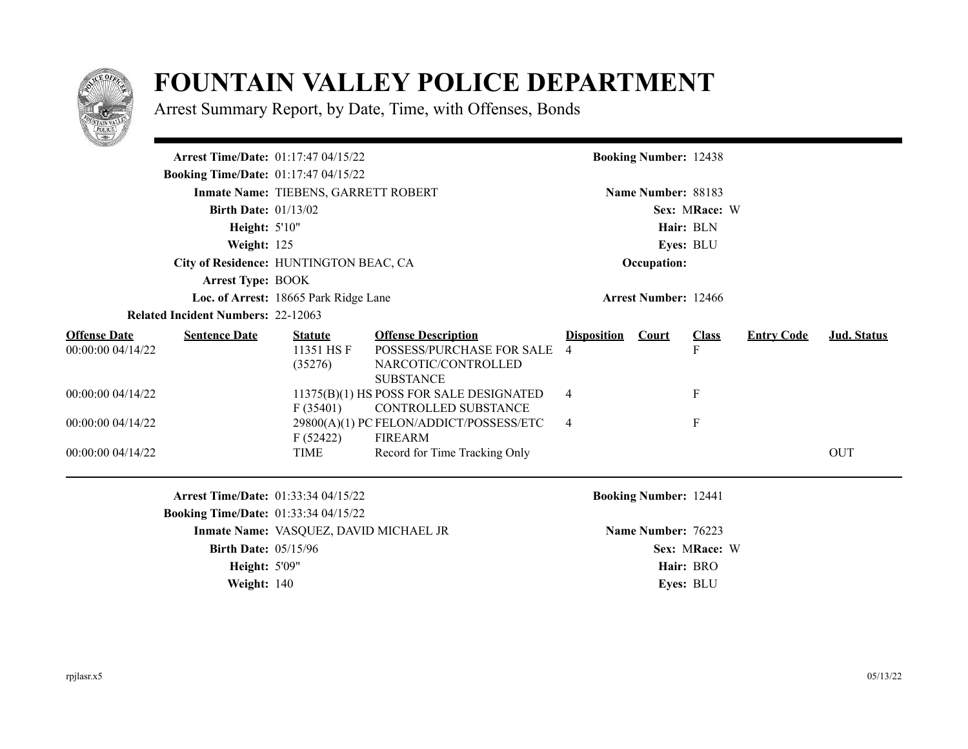

## **FOUNTAIN VALLEY POLICE DEPARTMENT**

Arrest Summary Report, by Date, Time, with Offenses, Bonds

|                                                               |                                           | <b>Arrest Time/Date: 01:17:47 04/15/22</b>                                                |                                                                                                    |                         | <b>Booking Number: 12438</b> |                                                |                   |                    |  |
|---------------------------------------------------------------|-------------------------------------------|-------------------------------------------------------------------------------------------|----------------------------------------------------------------------------------------------------|-------------------------|------------------------------|------------------------------------------------|-------------------|--------------------|--|
|                                                               |                                           | <b>Booking Time/Date: 01:17:47 04/15/22</b>                                               |                                                                                                    |                         |                              |                                                |                   |                    |  |
|                                                               |                                           | Inmate Name: TIEBENS, GARRETT ROBERT                                                      |                                                                                                    |                         | Name Number: 88183           |                                                |                   |                    |  |
|                                                               | <b>Birth Date: 01/13/02</b>               |                                                                                           |                                                                                                    | Sex: MRace: W           |                              |                                                |                   |                    |  |
|                                                               | Height: 5'10"                             |                                                                                           |                                                                                                    | Hair: BLN               |                              |                                                |                   |                    |  |
|                                                               | Weight: 125                               |                                                                                           |                                                                                                    | Eyes: BLU               |                              |                                                |                   |                    |  |
|                                                               |                                           | City of Residence: HUNTINGTON BEAC, CA                                                    |                                                                                                    | Occupation:             |                              |                                                |                   |                    |  |
|                                                               | <b>Arrest Type: BOOK</b>                  |                                                                                           |                                                                                                    |                         |                              |                                                |                   |                    |  |
|                                                               |                                           | Loc. of Arrest: 18665 Park Ridge Lane                                                     |                                                                                                    |                         | <b>Arrest Number: 12466</b>  |                                                |                   |                    |  |
|                                                               | <b>Related Incident Numbers: 22-12063</b> |                                                                                           |                                                                                                    |                         |                              |                                                |                   |                    |  |
| <b>Offense Date</b><br>00:00:00 04/14/22<br>00:00:00 04/14/22 | <b>Sentence Date</b>                      | <b>Statute</b><br>11351 HS F<br>(35276)                                                   | <b>Offense Description</b><br>POSSESS/PURCHASE FOR SALE<br>NARCOTIC/CONTROLLED<br><b>SUBSTANCE</b> | <b>Disposition</b><br>4 | <b>Court</b>                 | <b>Class</b><br>F<br>$\boldsymbol{\mathrm{F}}$ | <b>Entry Code</b> | <b>Jud. Status</b> |  |
|                                                               |                                           | F(35401)                                                                                  | 11375(B)(1) HS POSS FOR SALE DESIGNATED<br>CONTROLLED SUBSTANCE                                    | 4                       |                              |                                                |                   |                    |  |
| 00:00:00 04/14/22                                             |                                           | F(52422)                                                                                  | 29800(A)(1) PC FELON/ADDICT/POSSESS/ETC<br>FIREARM                                                 | 4                       |                              | $_{\rm F}$                                     |                   |                    |  |
| 00:00:00 04/14/22                                             |                                           | <b>TIME</b>                                                                               | Record for Time Tracking Only                                                                      |                         |                              |                                                |                   | <b>OUT</b>         |  |
|                                                               |                                           | <b>Arrest Time/Date: 01:33:34 04/15/22</b><br><b>Booking Time/Date: 01:33:34 04/15/22</b> |                                                                                                    |                         | <b>Booking Number: 12441</b> |                                                |                   |                    |  |
|                                                               |                                           | Inmate Name: VASQUEZ, DAVID MICHAEL JR                                                    |                                                                                                    |                         | Name Number: 76223           |                                                |                   |                    |  |
| <b>Birth Date: 05/15/96</b>                                   |                                           |                                                                                           |                                                                                                    |                         |                              | Sex: MRace: W                                  |                   |                    |  |
| <b>Height: 5'09"</b>                                          |                                           |                                                                                           |                                                                                                    | Hair: BRO               |                              |                                                |                   |                    |  |
|                                                               | Weight: 140                               |                                                                                           |                                                                                                    |                         |                              | Eves: BLU                                      |                   |                    |  |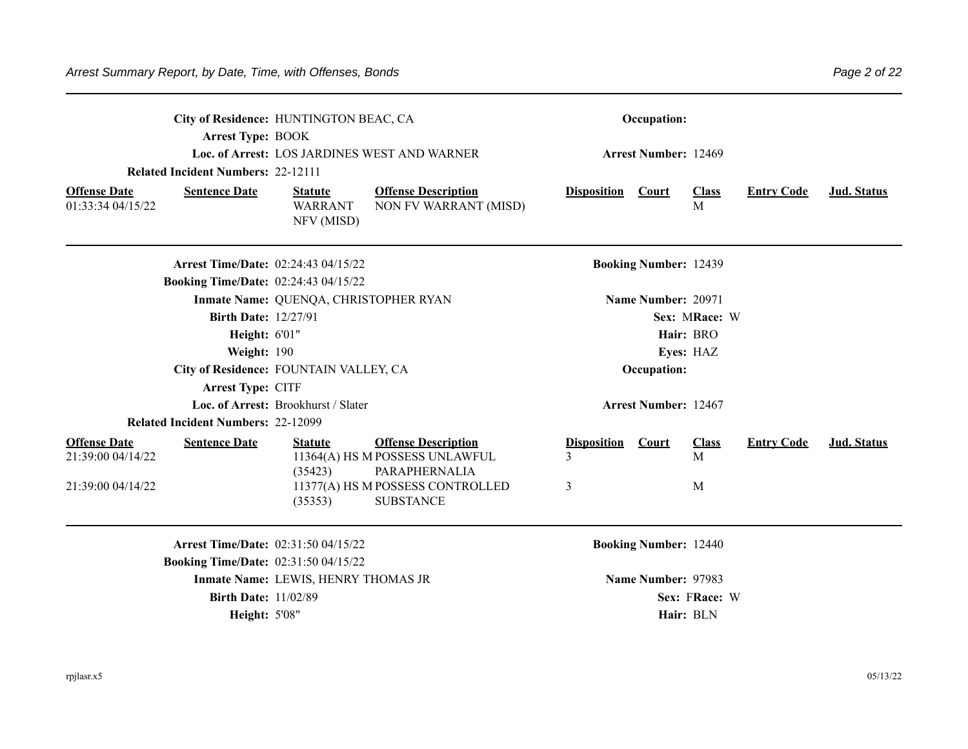| <b>Arrest Type: BOOK</b><br><b>Related Incident Numbers: 22-12111</b><br><b>Offense Date</b><br><b>Sentence Date</b><br>01:33:34 04/15/22 | City of Residence: HUNTINGTON BEAC, CA<br>Loc. of Arrest: LOS JARDINES WEST AND WARNER<br><b>Offense Description</b><br><b>Statute</b><br><b>WARRANT</b><br>NON FV WARRANT (MISD)<br>NFV (MISD) | Occupation:<br><b>Arrest Number: 12469</b><br><b>Disposition</b><br>Court<br><b>Class</b><br><b>Entry Code</b><br>M | Jud. Status        |
|-------------------------------------------------------------------------------------------------------------------------------------------|-------------------------------------------------------------------------------------------------------------------------------------------------------------------------------------------------|---------------------------------------------------------------------------------------------------------------------|--------------------|
| <b>Booking Time/Date: 02:24:43 04/15/22</b>                                                                                               | <b>Arrest Time/Date: 02:24:43 04/15/22</b>                                                                                                                                                      | <b>Booking Number: 12439</b>                                                                                        |                    |
| <b>Birth Date: 12/27/91</b>                                                                                                               | Inmate Name: QUENQA, CHRISTOPHER RYAN                                                                                                                                                           | Name Number: 20971<br>Sex: MRace: W<br>Hair: BRO                                                                    |                    |
| Height: 6'01"<br>Weight: 190                                                                                                              | City of Residence: FOUNTAIN VALLEY, CA                                                                                                                                                          | Eyes: HAZ<br>Occupation:                                                                                            |                    |
| Arrest Type: CITF<br><b>Related Incident Numbers: 22-12099</b>                                                                            | Loc. of Arrest: Brookhurst / Slater                                                                                                                                                             | <b>Arrest Number: 12467</b>                                                                                         |                    |
| <b>Offense Date</b><br><b>Sentence Date</b><br>21:39:00 04/14/22                                                                          | <b>Offense Description</b><br><b>Statute</b><br>11364(A) HS M POSSESS UNLAWFUL<br>(35423)<br>PARAPHERNALIA                                                                                      | <b>Disposition</b><br>Court<br><b>Class</b><br><b>Entry Code</b><br>3<br>M                                          | <b>Jud. Status</b> |
| 21:39:00 04/14/22                                                                                                                         | 11377(A) HS M POSSESS CONTROLLED<br><b>SUBSTANCE</b><br>(35353)                                                                                                                                 | 3<br>M                                                                                                              |                    |
| <b>Booking Time/Date: 02:31:50 04/15/22</b>                                                                                               | <b>Arrest Time/Date: 02:31:50 04/15/22</b>                                                                                                                                                      | <b>Booking Number: 12440</b>                                                                                        |                    |
| <b>Birth Date: 11/02/89</b><br><b>Height: 5'08"</b>                                                                                       | Inmate Name: LEWIS, HENRY THOMAS JR                                                                                                                                                             | Name Number: 97983<br>Sex: FRace: W<br>Hair: BLN                                                                    |                    |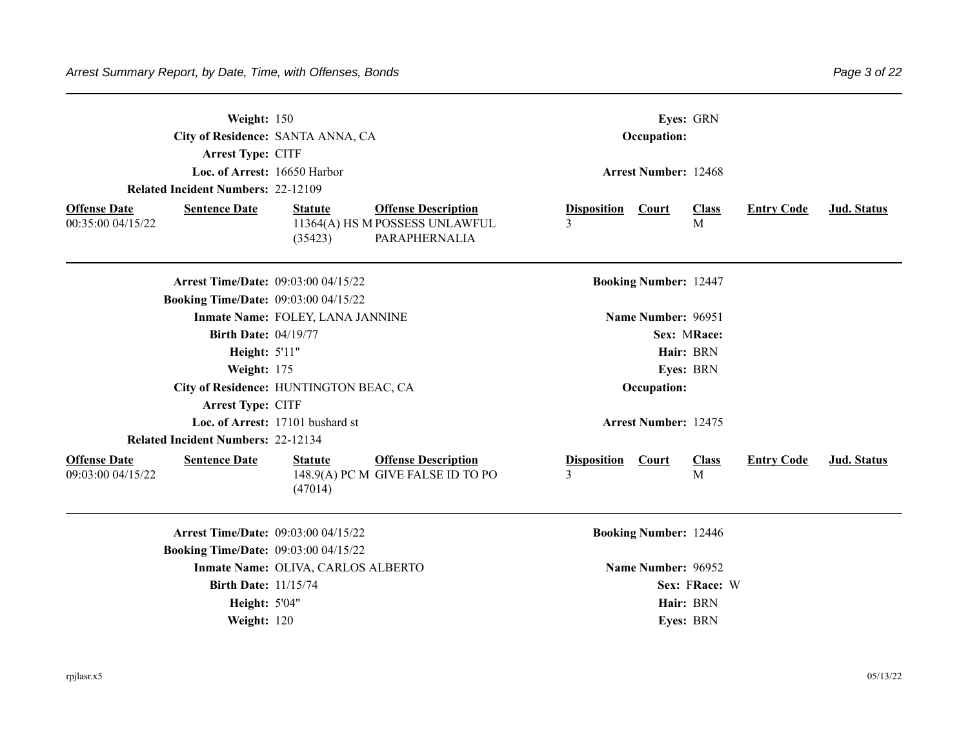| <b>Arrest Type: CITF</b>                                         | Weight: 150<br>City of Residence: SANTA ANNA, CA                                                           | Eyes: GRN<br>Occupation:                                                              |             |  |  |  |
|------------------------------------------------------------------|------------------------------------------------------------------------------------------------------------|---------------------------------------------------------------------------------------|-------------|--|--|--|
|                                                                  | Loc. of Arrest: 16650 Harbor                                                                               | <b>Arrest Number: 12468</b>                                                           |             |  |  |  |
| <b>Related Incident Numbers: 22-12109</b>                        |                                                                                                            |                                                                                       |             |  |  |  |
| <b>Offense Date</b><br><b>Sentence Date</b><br>00:35:00 04/15/22 | <b>Offense Description</b><br><b>Statute</b><br>11364(A) HS M POSSESS UNLAWFUL<br>PARAPHERNALIA<br>(35423) | <b>Disposition</b><br><b>Entry Code</b><br>Court<br><b>Class</b><br>$\mathbf{3}$<br>M | Jud. Status |  |  |  |
|                                                                  | <b>Arrest Time/Date: 09:03:00 04/15/22</b>                                                                 | <b>Booking Number: 12447</b>                                                          |             |  |  |  |
|                                                                  | <b>Booking Time/Date: 09:03:00 04/15/22</b>                                                                |                                                                                       |             |  |  |  |
|                                                                  | Inmate Name: FOLEY, LANA JANNINE                                                                           | Name Number: 96951                                                                    |             |  |  |  |
|                                                                  | <b>Birth Date: 04/19/77</b>                                                                                | Sex: MRace:                                                                           |             |  |  |  |
|                                                                  | <b>Height: 5'11"</b>                                                                                       | Hair: BRN                                                                             |             |  |  |  |
|                                                                  | Weight: 175                                                                                                | Eyes: BRN                                                                             |             |  |  |  |
|                                                                  | City of Residence: HUNTINGTON BEAC, CA                                                                     | Occupation:                                                                           |             |  |  |  |
| <b>Arrest Type: CITF</b>                                         |                                                                                                            |                                                                                       |             |  |  |  |
|                                                                  | Loc. of Arrest: 17101 bushard st                                                                           | <b>Arrest Number: 12475</b>                                                           |             |  |  |  |
| <b>Related Incident Numbers: 22-12134</b>                        |                                                                                                            |                                                                                       |             |  |  |  |
| <b>Offense Date</b><br><b>Sentence Date</b><br>09:03:00 04/15/22 | <b>Offense Description</b><br><b>Statute</b><br>148.9(A) PC M GIVE FALSE ID TO PO<br>(47014)               | <b>Disposition</b><br><b>Class</b><br><b>Entry Code</b><br><b>Court</b><br>3<br>M     | Jud. Status |  |  |  |
|                                                                  | <b>Arrest Time/Date: 09:03:00 04/15/22</b>                                                                 | <b>Booking Number: 12446</b>                                                          |             |  |  |  |
|                                                                  | <b>Booking Time/Date: 09:03:00 04/15/22</b>                                                                |                                                                                       |             |  |  |  |
|                                                                  | Inmate Name: OLIVA, CARLOS ALBERTO                                                                         | Name Number: 96952                                                                    |             |  |  |  |
|                                                                  | <b>Birth Date: 11/15/74</b>                                                                                | Sex: FRace: W                                                                         |             |  |  |  |
|                                                                  | <b>Height: 5'04"</b>                                                                                       | Hair: BRN                                                                             |             |  |  |  |
|                                                                  | Weight: 120                                                                                                | Eyes: BRN                                                                             |             |  |  |  |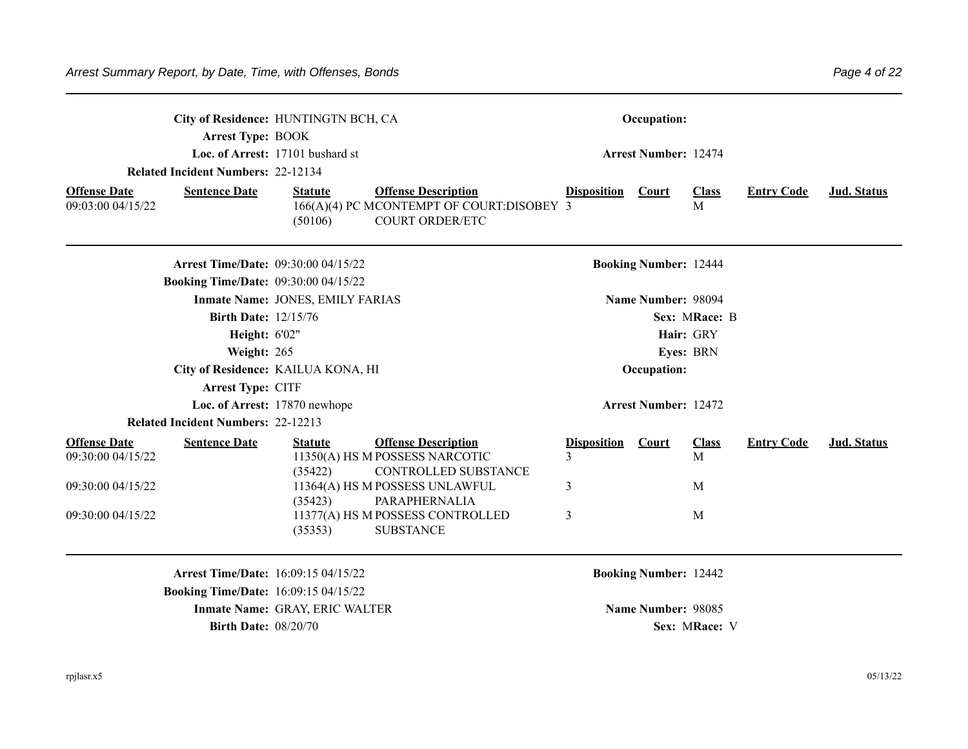|                                                                  | City of Residence: HUNTINGTN BCH, CA |                                                                                                   |                          | Occupation:                  |                   |                   |                    |
|------------------------------------------------------------------|--------------------------------------|---------------------------------------------------------------------------------------------------|--------------------------|------------------------------|-------------------|-------------------|--------------------|
| <b>Arrest Type: BOOK</b>                                         | Loc. of Arrest: 17101 bushard st     |                                                                                                   |                          |                              |                   |                   |                    |
|                                                                  |                                      |                                                                                                   |                          | <b>Arrest Number: 12474</b>  |                   |                   |                    |
| <b>Related Incident Numbers: 22-12134</b>                        |                                      |                                                                                                   |                          |                              |                   |                   |                    |
| <b>Sentence Date</b><br><b>Offense Date</b><br>09:03:00 04/15/22 | <b>Statute</b><br>(50106)            | <b>Offense Description</b><br>166(A)(4) PC MCONTEMPT OF COURT:DISOBEY 3<br><b>COURT ORDER/ETC</b> | <b>Disposition</b> Court |                              | <b>Class</b><br>M | <b>Entry Code</b> | Jud. Status        |
| <b>Arrest Time/Date: 09:30:00 04/15/22</b>                       |                                      |                                                                                                   |                          | <b>Booking Number: 12444</b> |                   |                   |                    |
| <b>Booking Time/Date: 09:30:00 04/15/22</b>                      |                                      |                                                                                                   |                          |                              |                   |                   |                    |
|                                                                  | Inmate Name: JONES, EMILY FARIAS     |                                                                                                   |                          | Name Number: 98094           |                   |                   |                    |
| <b>Birth Date: 12/15/76</b>                                      |                                      |                                                                                                   |                          |                              | Sex: MRace: B     |                   |                    |
| <b>Height: 6'02"</b>                                             |                                      |                                                                                                   |                          |                              | Hair: GRY         |                   |                    |
| Weight: 265                                                      |                                      |                                                                                                   |                          |                              | Eyes: BRN         |                   |                    |
|                                                                  | City of Residence: KAILUA KONA, HI   |                                                                                                   |                          | Occupation:                  |                   |                   |                    |
| Arrest Type: CITF                                                |                                      |                                                                                                   |                          |                              |                   |                   |                    |
|                                                                  | Loc. of Arrest: 17870 newhope        |                                                                                                   |                          | <b>Arrest Number: 12472</b>  |                   |                   |                    |
| <b>Related Incident Numbers: 22-12213</b>                        |                                      |                                                                                                   |                          |                              |                   |                   |                    |
| <b>Offense Date</b><br><b>Sentence Date</b><br>09:30:00 04/15/22 | <b>Statute</b><br>(35422)            | <b>Offense Description</b><br>11350(A) HS M POSSESS NARCOTIC<br>CONTROLLED SUBSTANCE              | <b>Disposition</b><br>3  | Court                        | <b>Class</b><br>M | <b>Entry Code</b> | <b>Jud. Status</b> |
| 09:30:00 04/15/22                                                | (35423)                              | 11364(A) HS M POSSESS UNLAWFUL<br>PARAPHERNALIA                                                   | 3                        |                              | M                 |                   |                    |
| 09:30:00 04/15/22                                                | (35353)                              | 11377(A) HS M POSSESS CONTROLLED<br><b>SUBSTANCE</b>                                              | 3                        |                              | M                 |                   |                    |
| <b>Arrest Time/Date: 16:09:15 04/15/22</b>                       |                                      |                                                                                                   |                          | <b>Booking Number: 12442</b> |                   |                   |                    |
| <b>Booking Time/Date: 16:09:15 04/15/22</b>                      |                                      |                                                                                                   |                          |                              |                   |                   |                    |
|                                                                  | Inmate Name: GRAY, ERIC WALTER       |                                                                                                   |                          | Name Number: 98085           |                   |                   |                    |
| <b>Birth Date: 08/20/70</b>                                      |                                      |                                                                                                   |                          |                              | Sex: MRace: V     |                   |                    |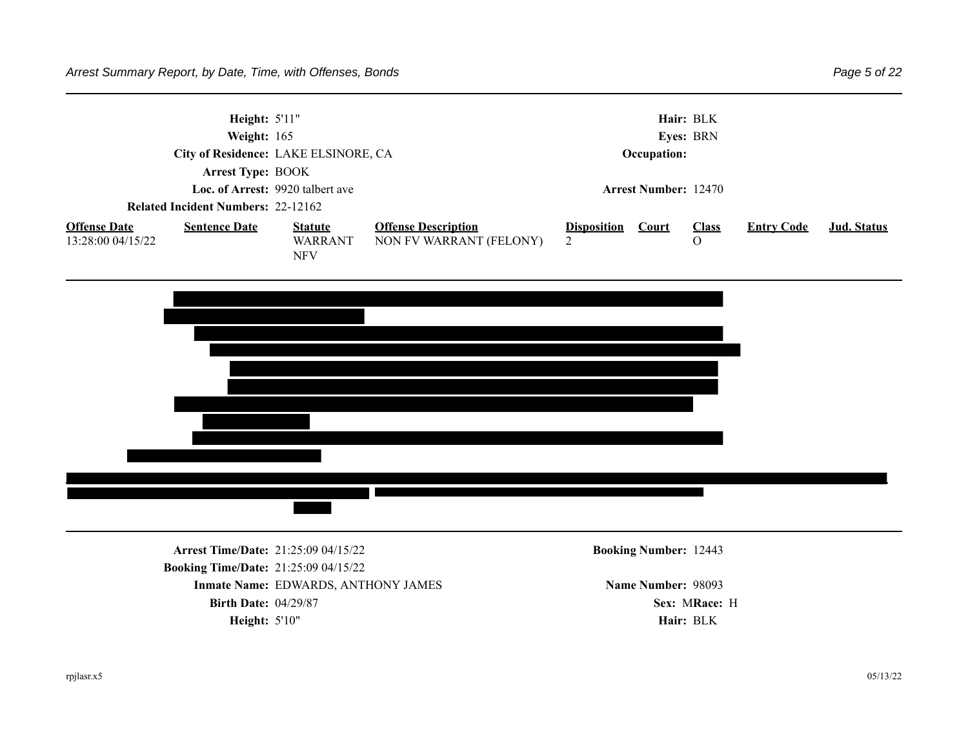

**Booking Time/Date:** 21:25:09 04/15/22 **Inmate Name: EDWARDS, ANTHONY JAMES Name Number: 98093 Birth Date:** 04/29/87 **Sex:** MRace: H Height: 5'10" **Hair: BLK**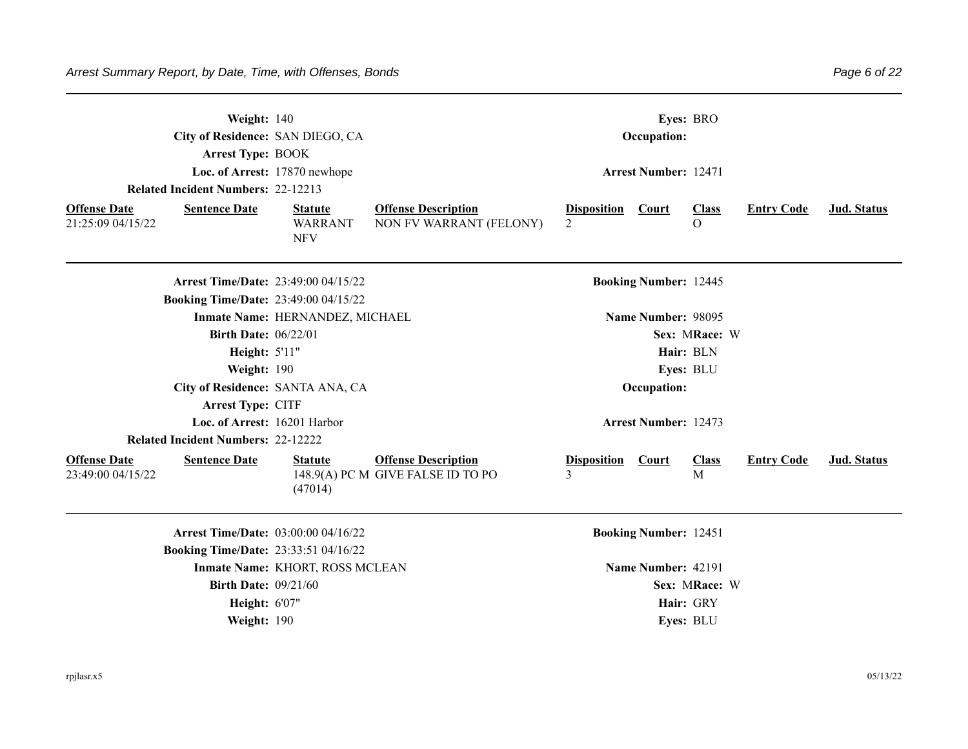|                                          | Weight: 140<br>City of Residence: SAN DIEGO, CA<br><b>Arrest Type: BOOK</b><br><b>Related Incident Numbers: 22-12213</b> | Loc. of Arrest: 17870 newhope                  |                                                                 |                                      |                              |                          |                   |             |
|------------------------------------------|--------------------------------------------------------------------------------------------------------------------------|------------------------------------------------|-----------------------------------------------------------------|--------------------------------------|------------------------------|--------------------------|-------------------|-------------|
| <b>Offense Date</b><br>21:25:09 04/15/22 | <b>Sentence Date</b>                                                                                                     | <b>Statute</b><br><b>WARRANT</b><br><b>NFV</b> | <b>Offense Description</b><br>NON FV WARRANT (FELONY)           | <b>Disposition</b><br>$\overline{2}$ | Court                        | <b>Class</b><br>$\Omega$ | <b>Entry Code</b> | Jud. Status |
|                                          | <b>Arrest Time/Date: 23:49:00 04/15/22</b><br><b>Booking Time/Date: 23:49:00 04/15/22</b>                                |                                                |                                                                 |                                      | <b>Booking Number: 12445</b> |                          |                   |             |
|                                          |                                                                                                                          | Inmate Name: HERNANDEZ, MICHAEL                |                                                                 |                                      | Name Number: 98095           |                          |                   |             |
|                                          | <b>Birth Date: 06/22/01</b>                                                                                              |                                                |                                                                 |                                      |                              | Sex: MRace: W            |                   |             |
|                                          | Height: 5'11"                                                                                                            |                                                |                                                                 |                                      |                              | Hair: BLN                |                   |             |
|                                          | Weight: 190                                                                                                              |                                                |                                                                 |                                      |                              | Eyes: BLU                |                   |             |
|                                          |                                                                                                                          | City of Residence: SANTA ANA, CA               |                                                                 |                                      | Occupation:                  |                          |                   |             |
|                                          | Arrest Type: CITF                                                                                                        |                                                |                                                                 |                                      |                              |                          |                   |             |
|                                          | Loc. of Arrest: 16201 Harbor                                                                                             |                                                |                                                                 |                                      | <b>Arrest Number: 12473</b>  |                          |                   |             |
|                                          | <b>Related Incident Numbers: 22-12222</b>                                                                                |                                                |                                                                 |                                      |                              |                          |                   |             |
| <b>Offense Date</b><br>23:49:00 04/15/22 | <b>Sentence Date</b>                                                                                                     | <b>Statute</b><br>(47014)                      | <b>Offense Description</b><br>148.9(A) PC M GIVE FALSE ID TO PO | <b>Disposition</b><br>$\mathbf{3}$   | <b>Court</b>                 | <b>Class</b><br>M        | <b>Entry Code</b> | Jud. Status |
|                                          | Arrest Time/Date: 03:00:00 04/16/22                                                                                      |                                                |                                                                 |                                      | <b>Booking Number: 12451</b> |                          |                   |             |
|                                          | <b>Booking Time/Date: 23:33:51 04/16/22</b>                                                                              |                                                |                                                                 |                                      |                              |                          |                   |             |
|                                          |                                                                                                                          | Inmate Name: KHORT, ROSS MCLEAN                |                                                                 |                                      | Name Number: 42191           |                          |                   |             |
|                                          | <b>Birth Date: 09/21/60</b>                                                                                              |                                                |                                                                 |                                      |                              | Sex: MRace: W            |                   |             |
|                                          | Height: 6'07"                                                                                                            |                                                |                                                                 |                                      |                              | Hair: GRY                |                   |             |
|                                          | Weight: 190                                                                                                              |                                                |                                                                 |                                      |                              | Eyes: BLU                |                   |             |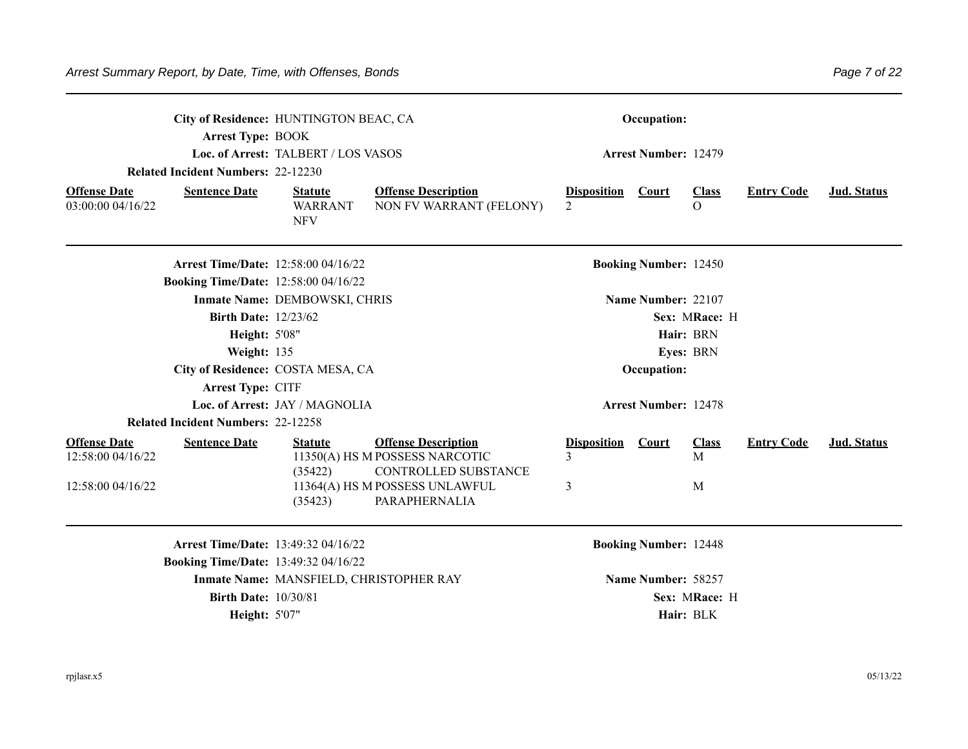|                                          | City of Residence: HUNTINGTON BEAC, CA<br><b>Arrest Type: BOOK</b> |                                                | Occupation:                                                                          |                                      |                              |                            |                   |             |
|------------------------------------------|--------------------------------------------------------------------|------------------------------------------------|--------------------------------------------------------------------------------------|--------------------------------------|------------------------------|----------------------------|-------------------|-------------|
|                                          | <b>Related Incident Numbers: 22-12230</b>                          | Loc. of Arrest: TALBERT / LOS VASOS            |                                                                                      |                                      | <b>Arrest Number: 12479</b>  |                            |                   |             |
|                                          |                                                                    |                                                |                                                                                      |                                      |                              |                            |                   |             |
| <b>Offense Date</b><br>03:00:00 04/16/22 | <b>Sentence Date</b>                                               | <b>Statute</b><br><b>WARRANT</b><br><b>NFV</b> | <b>Offense Description</b><br>NON FV WARRANT (FELONY)                                | <b>Disposition</b><br>$\mathfrak{D}$ | Court                        | <b>Class</b><br>$\Omega$   | <b>Entry Code</b> | Jud. Status |
|                                          | <b>Arrest Time/Date: 12:58:00 04/16/22</b>                         |                                                |                                                                                      |                                      | <b>Booking Number: 12450</b> |                            |                   |             |
|                                          | <b>Booking Time/Date: 12:58:00 04/16/22</b>                        |                                                |                                                                                      |                                      |                              |                            |                   |             |
|                                          |                                                                    | Inmate Name: DEMBOWSKI, CHRIS                  |                                                                                      |                                      | Name Number: 22107           |                            |                   |             |
|                                          | <b>Birth Date: 12/23/62</b>                                        |                                                |                                                                                      |                                      |                              | Sex: MRace: H<br>Hair: BRN |                   |             |
|                                          | Height: 5'08"                                                      |                                                |                                                                                      |                                      |                              | Eyes: BRN                  |                   |             |
|                                          | Weight: 135<br>City of Residence: COSTA MESA, CA                   |                                                |                                                                                      |                                      | Occupation:                  |                            |                   |             |
|                                          | Arrest Type: CITF                                                  |                                                |                                                                                      |                                      |                              |                            |                   |             |
|                                          |                                                                    | Loc. of Arrest: JAY / MAGNOLIA                 |                                                                                      |                                      | <b>Arrest Number: 12478</b>  |                            |                   |             |
|                                          | <b>Related Incident Numbers: 22-12258</b>                          |                                                |                                                                                      |                                      |                              |                            |                   |             |
| <b>Offense Date</b><br>12:58:00 04/16/22 | <b>Sentence Date</b>                                               | <b>Statute</b><br>(35422)                      | <b>Offense Description</b><br>11350(A) HS M POSSESS NARCOTIC<br>CONTROLLED SUBSTANCE | <b>Disposition</b><br>3              | Court                        | <b>Class</b><br>M          | <b>Entry Code</b> | Jud. Status |
| 12:58:00 04/16/22                        |                                                                    | (35423)                                        | 11364(A) HS M POSSESS UNLAWFUL<br>PARAPHERNALIA                                      | 3                                    |                              | M                          |                   |             |
|                                          | Arrest Time/Date: 13:49:32 04/16/22                                |                                                |                                                                                      |                                      | <b>Booking Number: 12448</b> |                            |                   |             |
|                                          | <b>Booking Time/Date: 13:49:32 04/16/22</b>                        |                                                |                                                                                      |                                      |                              |                            |                   |             |
|                                          |                                                                    | Inmate Name: MANSFIELD, CHRISTOPHER RAY        |                                                                                      |                                      | Name Number: 58257           |                            |                   |             |
|                                          | <b>Birth Date: 10/30/81</b>                                        |                                                |                                                                                      |                                      |                              | Sex: MRace: H              |                   |             |
|                                          | <b>Height: 5'07"</b>                                               |                                                |                                                                                      |                                      |                              | Hair: BLK                  |                   |             |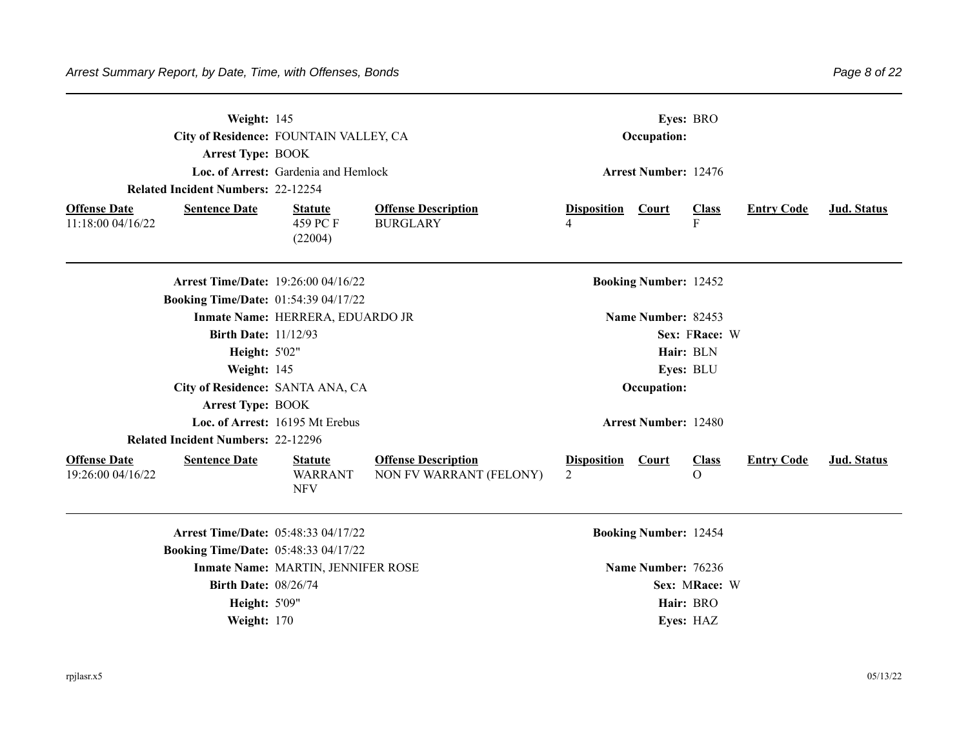|                                          | Weight: 145<br>City of Residence: FOUNTAIN VALLEY, CA<br><b>Arrest Type: BOOK</b><br>Loc. of Arrest: Gardenia and Hemlock<br><b>Related Incident Numbers: 22-12254</b> |                                                |                                                       |                         | Eves: BRO<br>Occupation:<br><b>Arrest Number: 12476</b> |                              |                   |             |  |  |
|------------------------------------------|------------------------------------------------------------------------------------------------------------------------------------------------------------------------|------------------------------------------------|-------------------------------------------------------|-------------------------|---------------------------------------------------------|------------------------------|-------------------|-------------|--|--|
| <b>Offense Date</b><br>11:18:00 04/16/22 | <b>Sentence Date</b>                                                                                                                                                   | <b>Statute</b><br>459 PC F<br>(22004)          | <b>Offense Description</b><br><b>BURGLARY</b>         | <b>Disposition</b><br>4 | Court                                                   | <b>Class</b><br>F            | <b>Entry Code</b> | Jud. Status |  |  |
|                                          | <b>Arrest Time/Date: 19:26:00 04/16/22</b><br><b>Booking Time/Date: 01:54:39 04/17/22</b>                                                                              |                                                |                                                       |                         | <b>Booking Number: 12452</b>                            |                              |                   |             |  |  |
|                                          |                                                                                                                                                                        | Inmate Name: HERRERA, EDUARDO JR               |                                                       |                         | Name Number: 82453                                      |                              |                   |             |  |  |
|                                          | <b>Birth Date: 11/12/93</b>                                                                                                                                            |                                                |                                                       |                         |                                                         | Sex: FRace: W                |                   |             |  |  |
|                                          | <b>Height: 5'02"</b>                                                                                                                                                   |                                                |                                                       |                         |                                                         | Hair: BLN                    |                   |             |  |  |
|                                          | Weight: 145                                                                                                                                                            |                                                |                                                       |                         |                                                         | Eyes: BLU                    |                   |             |  |  |
|                                          |                                                                                                                                                                        | City of Residence: SANTA ANA, CA               |                                                       |                         | Occupation:                                             |                              |                   |             |  |  |
|                                          | <b>Arrest Type: BOOK</b>                                                                                                                                               |                                                |                                                       |                         |                                                         |                              |                   |             |  |  |
|                                          |                                                                                                                                                                        | Loc. of Arrest: 16195 Mt Erebus                |                                                       |                         | <b>Arrest Number: 12480</b>                             |                              |                   |             |  |  |
|                                          | <b>Related Incident Numbers: 22-12296</b>                                                                                                                              |                                                |                                                       |                         |                                                         |                              |                   |             |  |  |
| <b>Offense Date</b><br>19:26:00 04/16/22 | <b>Sentence Date</b>                                                                                                                                                   | <b>Statute</b><br><b>WARRANT</b><br><b>NFV</b> | <b>Offense Description</b><br>NON FV WARRANT (FELONY) | <b>Disposition</b><br>2 | Court                                                   | <b>Class</b><br>$\mathbf{O}$ | <b>Entry Code</b> | Jud. Status |  |  |
|                                          | Arrest Time/Date: 05:48:33 04/17/22                                                                                                                                    |                                                |                                                       |                         | <b>Booking Number: 12454</b>                            |                              |                   |             |  |  |
|                                          | <b>Booking Time/Date: 05:48:33 04/17/22</b>                                                                                                                            |                                                |                                                       |                         |                                                         |                              |                   |             |  |  |
|                                          |                                                                                                                                                                        | Inmate Name: MARTIN, JENNIFER ROSE             |                                                       |                         | Name Number: 76236                                      |                              |                   |             |  |  |
|                                          | <b>Birth Date: 08/26/74</b>                                                                                                                                            |                                                |                                                       |                         |                                                         | Sex: MRace: W                |                   |             |  |  |
|                                          | <b>Height: 5'09"</b>                                                                                                                                                   |                                                |                                                       |                         |                                                         | Hair: BRO                    |                   |             |  |  |
|                                          | Weight: 170                                                                                                                                                            |                                                |                                                       |                         |                                                         | Eyes: HAZ                    |                   |             |  |  |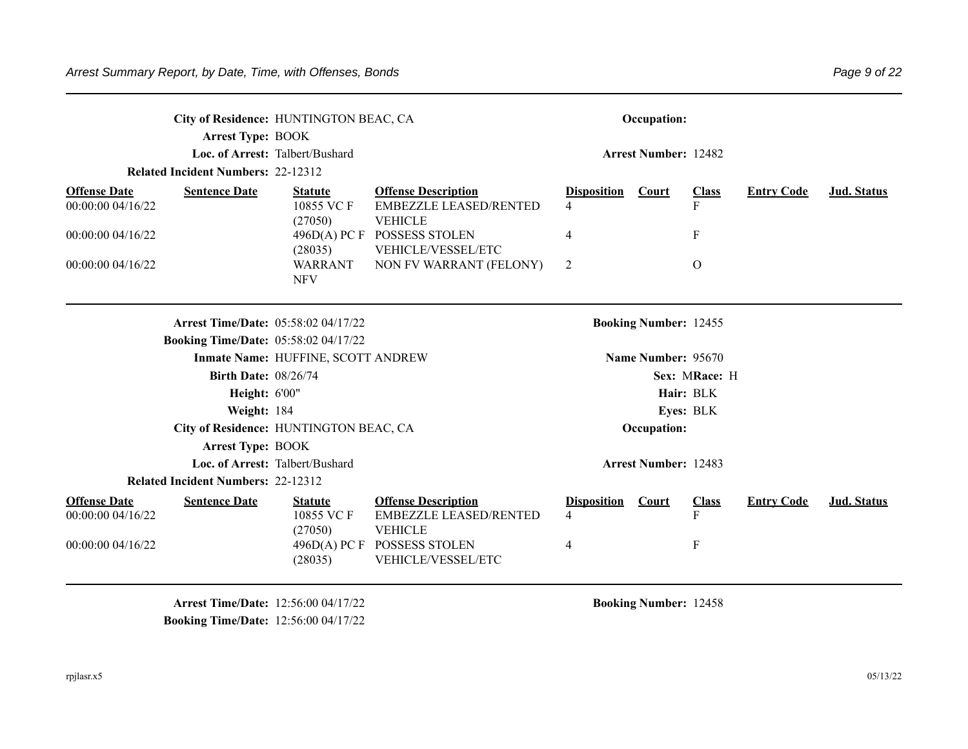|                                                                  |                             | City of Residence: HUNTINGTON BEAC, CA      |                                                                               |                         | Occupation:                  |                              |                   |                    |  |
|------------------------------------------------------------------|-----------------------------|---------------------------------------------|-------------------------------------------------------------------------------|-------------------------|------------------------------|------------------------------|-------------------|--------------------|--|
|                                                                  | <b>Arrest Type: BOOK</b>    |                                             |                                                                               |                         |                              |                              |                   |                    |  |
|                                                                  |                             | Loc. of Arrest: Talbert/Bushard             |                                                                               |                         | <b>Arrest Number: 12482</b>  |                              |                   |                    |  |
| <b>Related Incident Numbers: 22-12312</b>                        |                             |                                             |                                                                               |                         |                              |                              |                   |                    |  |
| <b>Offense Date</b><br><b>Sentence Date</b><br>00:00:00 04/16/22 |                             | <b>Statute</b><br>10855 VC F<br>(27050)     | <b>Offense Description</b><br><b>EMBEZZLE LEASED/RENTED</b><br><b>VEHICLE</b> | <b>Disposition</b><br>4 | <b>Court</b>                 | <b>Class</b><br>$\mathbf{F}$ | <b>Entry Code</b> | <b>Jud.</b> Status |  |
| 00:00:00 04/16/22                                                |                             | 496D(A) PCF<br>(28035)                      | <b>POSSESS STOLEN</b><br>VEHICLE/VESSEL/ETC                                   | 4                       |                              | $\mathbf F$                  |                   |                    |  |
| 00:00:00 04/16/22                                                |                             | <b>WARRANT</b><br><b>NFV</b>                | NON FV WARRANT (FELONY)                                                       | 2                       |                              | $\Omega$                     |                   |                    |  |
|                                                                  |                             | Arrest Time/Date: 05:58:02 04/17/22         |                                                                               |                         | <b>Booking Number: 12455</b> |                              |                   |                    |  |
|                                                                  |                             | <b>Booking Time/Date: 05:58:02 04/17/22</b> |                                                                               |                         |                              |                              |                   |                    |  |
|                                                                  |                             | <b>Inmate Name: HUFFINE, SCOTT ANDREW</b>   |                                                                               |                         | Name Number: 95670           |                              |                   |                    |  |
|                                                                  | <b>Birth Date: 08/26/74</b> |                                             |                                                                               |                         |                              | Sex: MRace: H                |                   |                    |  |
|                                                                  | <b>Height: 6'00"</b>        |                                             |                                                                               |                         | Hair: BLK                    |                              |                   |                    |  |
|                                                                  | Weight: 184                 |                                             |                                                                               |                         |                              | Eyes: BLK                    |                   |                    |  |
|                                                                  |                             | City of Residence: HUNTINGTON BEAC, CA      |                                                                               |                         | Occupation:                  |                              |                   |                    |  |
|                                                                  | <b>Arrest Type: BOOK</b>    |                                             |                                                                               |                         |                              |                              |                   |                    |  |
|                                                                  |                             | Loc. of Arrest: Talbert/Bushard             |                                                                               |                         | <b>Arrest Number: 12483</b>  |                              |                   |                    |  |
| <b>Related Incident Numbers: 22-12312</b>                        |                             |                                             |                                                                               |                         |                              |                              |                   |                    |  |
| <b>Offense Date</b><br><b>Sentence Date</b><br>00:00:00 04/16/22 |                             | <b>Statute</b><br>10855 VC F<br>(27050)     | <b>Offense Description</b><br><b>EMBEZZLE LEASED/RENTED</b><br><b>VEHICLE</b> | <b>Disposition</b><br>4 | Court                        | <b>Class</b><br>$\mathbf{F}$ | <b>Entry Code</b> | <b>Jud.</b> Status |  |

00:00:00 04/16/22

**Arrest Time/Date:** 12:56:00 04/17/22 **Booking Number:** 12458 **Booking Time/Date:** 12:56:00 04/17/22

(28035)

POSSESS STOLEN VEHICLE/VESSEL/ETC

4 F

Page 9 of 22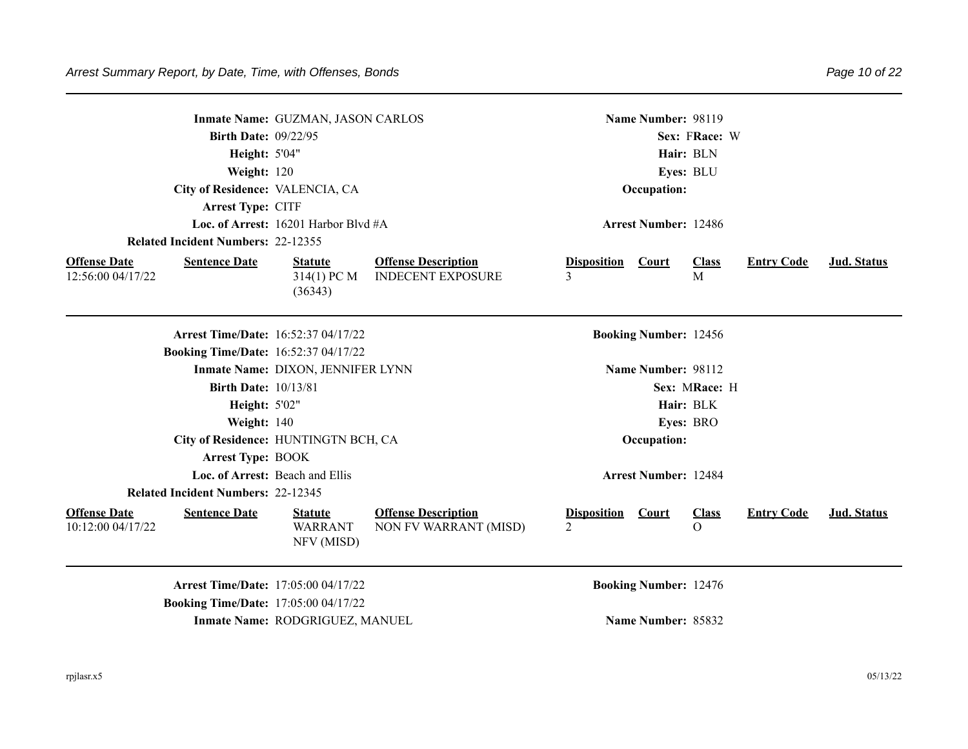|                                          |                                           | Inmate Name: GUZMAN, JASON CARLOS                                                         |                                                        |                                      | Name Number: 98119           |                          |                   |             |  |
|------------------------------------------|-------------------------------------------|-------------------------------------------------------------------------------------------|--------------------------------------------------------|--------------------------------------|------------------------------|--------------------------|-------------------|-------------|--|
|                                          | <b>Birth Date: 09/22/95</b>               |                                                                                           |                                                        |                                      |                              | Sex: FRace: W            |                   |             |  |
|                                          | Height: 5'04"                             |                                                                                           |                                                        | Hair: BLN                            |                              |                          |                   |             |  |
|                                          | Weight: 120                               |                                                                                           |                                                        | Eyes: BLU                            |                              |                          |                   |             |  |
|                                          |                                           | City of Residence: VALENCIA, CA                                                           |                                                        | Occupation:                          |                              |                          |                   |             |  |
|                                          | Arrest Type: CITF                         |                                                                                           |                                                        |                                      |                              |                          |                   |             |  |
|                                          |                                           | Loc. of Arrest: 16201 Harbor Blvd #A                                                      |                                                        |                                      | <b>Arrest Number: 12486</b>  |                          |                   |             |  |
|                                          | <b>Related Incident Numbers: 22-12355</b> |                                                                                           |                                                        |                                      |                              |                          |                   |             |  |
| <b>Offense Date</b><br>12:56:00 04/17/22 | <b>Sentence Date</b>                      | <b>Statute</b><br>314(1) PC M<br>(36343)                                                  | <b>Offense Description</b><br><b>INDECENT EXPOSURE</b> | <b>Disposition</b><br>3              | <b>Court</b>                 | <b>Class</b><br>M        | <b>Entry Code</b> | Jud. Status |  |
|                                          |                                           | <b>Arrest Time/Date: 16:52:37 04/17/22</b>                                                |                                                        |                                      | <b>Booking Number: 12456</b> |                          |                   |             |  |
|                                          |                                           | <b>Booking Time/Date: 16:52:37 04/17/22</b>                                               |                                                        |                                      |                              |                          |                   |             |  |
|                                          |                                           | Inmate Name: DIXON, JENNIFER LYNN                                                         |                                                        |                                      | Name Number: 98112           |                          |                   |             |  |
|                                          | <b>Birth Date: 10/13/81</b>               |                                                                                           |                                                        |                                      |                              | Sex: MRace: H            |                   |             |  |
|                                          | Height: 5'02"                             |                                                                                           |                                                        | Hair: BLK                            |                              |                          |                   |             |  |
|                                          | Weight: 140                               |                                                                                           |                                                        |                                      |                              | Eyes: BRO                |                   |             |  |
|                                          |                                           | City of Residence: HUNTINGTN BCH, CA                                                      |                                                        |                                      | Occupation:                  |                          |                   |             |  |
|                                          | <b>Arrest Type: BOOK</b>                  |                                                                                           |                                                        |                                      |                              |                          |                   |             |  |
|                                          | Loc. of Arrest: Beach and Ellis           |                                                                                           |                                                        |                                      | <b>Arrest Number: 12484</b>  |                          |                   |             |  |
|                                          | <b>Related Incident Numbers: 22-12345</b> |                                                                                           |                                                        |                                      |                              |                          |                   |             |  |
| <b>Offense Date</b><br>10:12:00 04/17/22 | <b>Sentence Date</b>                      | <b>Statute</b><br><b>WARRANT</b><br>NFV (MISD)                                            | <b>Offense Description</b><br>NON FV WARRANT (MISD)    | <b>Disposition</b><br>$\mathfrak{D}$ | Court                        | <b>Class</b><br>$\Omega$ | <b>Entry Code</b> | Jud. Status |  |
|                                          |                                           | <b>Arrest Time/Date: 17:05:00 04/17/22</b><br><b>Booking Time/Date: 17:05:00 04/17/22</b> |                                                        |                                      | <b>Booking Number: 12476</b> |                          |                   |             |  |

**Inmate Name: RODGRIGUEZ, MANUEL <b>Name Number: 85832**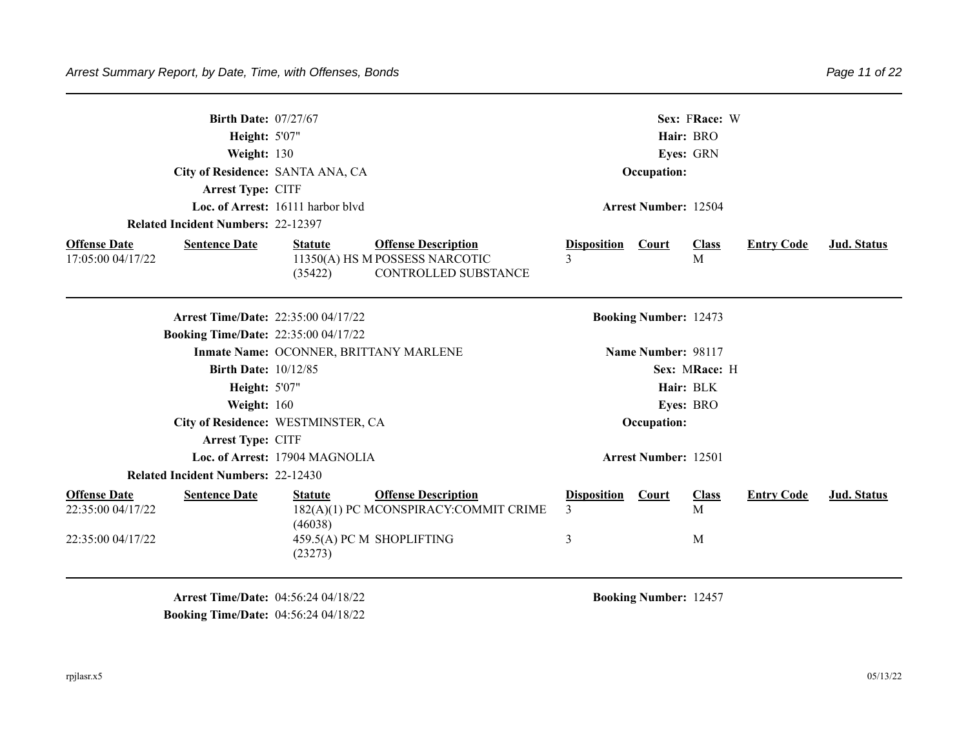| <b>Birth Date: 07/27/67</b><br><b>Height: 5'07"</b><br>Weight: 130<br>City of Residence: SANTA ANA, CA<br>Arrest Type: CITF<br>Loc. of Arrest: 16111 harbor blvd<br><b>Related Incident Numbers: 22-12397</b> |                                                                                                                          |                                      |                                                                                                  |                                    | Sex: FRace: W<br>Hair: BRO<br>Eyes: GRN<br>Occupation:<br><b>Arrest Number: 12504</b> |                        |                   |                    |  |  |
|---------------------------------------------------------------------------------------------------------------------------------------------------------------------------------------------------------------|--------------------------------------------------------------------------------------------------------------------------|--------------------------------------|--------------------------------------------------------------------------------------------------|------------------------------------|---------------------------------------------------------------------------------------|------------------------|-------------------|--------------------|--|--|
| <b>Offense Date</b><br>17:05:00 04/17/22                                                                                                                                                                      | <b>Sentence Date</b>                                                                                                     | <b>Statute</b><br>(35422)            | <b>Offense Description</b><br>11350(A) HS M POSSESS NARCOTIC<br>CONTROLLED SUBSTANCE             | <b>Disposition</b><br>$\mathbf{3}$ | <b>Court</b>                                                                          | <b>Class</b><br>M      | <b>Entry Code</b> | <b>Jud.</b> Status |  |  |
|                                                                                                                                                                                                               | <b>Arrest Time/Date: 22:35:00 04/17/22</b><br><b>Booking Time/Date: 22:35:00 04/17/22</b><br><b>Birth Date: 10/12/85</b> |                                      | Inmate Name: OCONNER, BRITTANY MARLENE                                                           |                                    | <b>Booking Number: 12473</b><br>Name Number: 98117                                    | Sex: MRace: H          |                   |                    |  |  |
|                                                                                                                                                                                                               | Height: 5'07"<br>Weight: 160<br>City of Residence: WESTMINSTER, CA<br>Arrest Type: CITF                                  | Loc. of Arrest: 17904 MAGNOLIA       |                                                                                                  |                                    | Occupation:<br><b>Arrest Number: 12501</b>                                            | Hair: BLK<br>Eyes: BRO |                   |                    |  |  |
| <b>Offense Date</b><br>22:35:00 04/17/22<br>22:35:00 04/17/22                                                                                                                                                 | <b>Related Incident Numbers: 22-12430</b><br><b>Sentence Date</b>                                                        | <b>Statute</b><br>(46038)<br>(23273) | <b>Offense Description</b><br>182(A)(1) PC MCONSPIRACY:COMMIT CRIME<br>459.5(A) PC M SHOPLIFTING | <b>Disposition</b><br>3<br>3       | Court                                                                                 | <b>Class</b><br>M<br>M | <b>Entry Code</b> | <b>Jud. Status</b> |  |  |

**Arrest Time/Date:** 04:56:24 04/18/22 **Booking Number:** 12457 **Booking Time/Date:** 04:56:24 04/18/22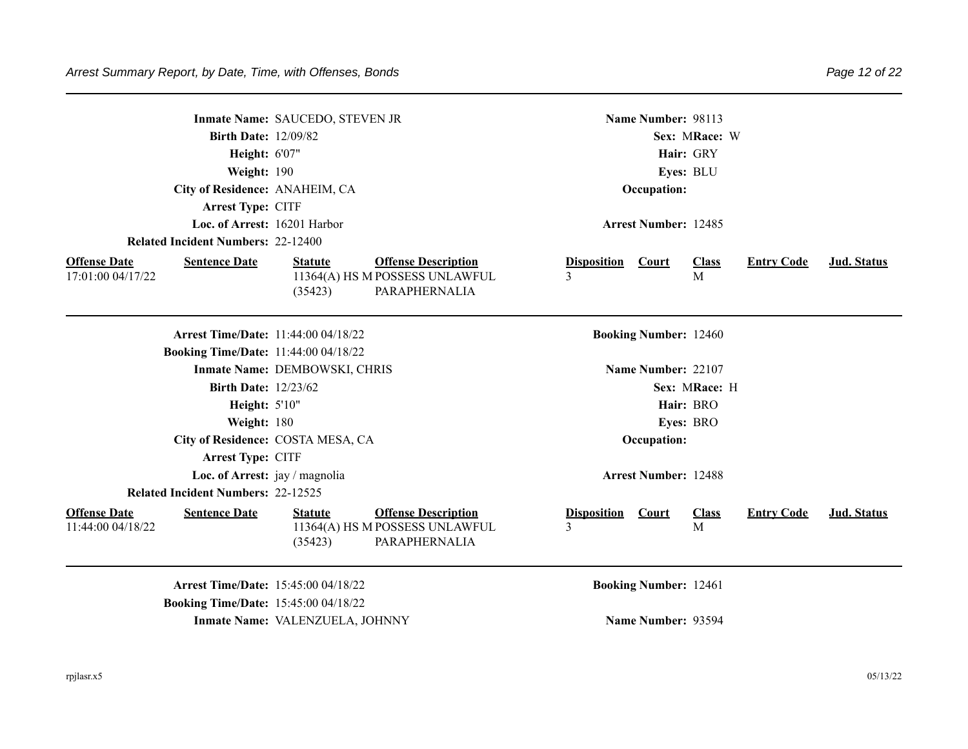|                                                                  |                                             |                                                                               | Name Number: 98113                 |                              |                              |                   |             |  |  |
|------------------------------------------------------------------|---------------------------------------------|-------------------------------------------------------------------------------|------------------------------------|------------------------------|------------------------------|-------------------|-------------|--|--|
|                                                                  | Inmate Name: SAUCEDO, STEVEN JR             |                                                                               |                                    |                              |                              |                   |             |  |  |
|                                                                  | <b>Birth Date: 12/09/82</b>                 |                                                                               |                                    |                              | Sex: MRace: W                |                   |             |  |  |
|                                                                  | Height: 6'07"                               |                                                                               | Hair: GRY                          |                              |                              |                   |             |  |  |
|                                                                  | Weight: 190                                 |                                                                               | Eyes: BLU                          |                              |                              |                   |             |  |  |
|                                                                  | City of Residence: ANAHEIM, CA              |                                                                               | Occupation:                        |                              |                              |                   |             |  |  |
| Arrest Type: CITF                                                |                                             |                                                                               |                                    |                              |                              |                   |             |  |  |
|                                                                  | Loc. of Arrest: 16201 Harbor                |                                                                               | <b>Arrest Number: 12485</b>        |                              |                              |                   |             |  |  |
| <b>Related Incident Numbers: 22-12400</b>                        |                                             |                                                                               |                                    |                              |                              |                   |             |  |  |
| <b>Offense Date</b><br><b>Sentence Date</b><br>17:01:00 04/17/22 | <b>Statute</b><br>(35423)                   | <b>Offense Description</b><br>11364(A) HS M POSSESS UNLAWFUL<br>PARAPHERNALIA | <b>Disposition</b><br>3            | <b>Court</b>                 | <b>Class</b><br>$\mathbf{M}$ | <b>Entry Code</b> | Jud. Status |  |  |
|                                                                  | <b>Arrest Time/Date: 11:44:00 04/18/22</b>  |                                                                               |                                    | <b>Booking Number: 12460</b> |                              |                   |             |  |  |
| <b>Booking Time/Date: 11:44:00 04/18/22</b>                      |                                             |                                                                               |                                    |                              |                              |                   |             |  |  |
|                                                                  | Inmate Name: DEMBOWSKI, CHRIS               |                                                                               |                                    | Name Number: 22107           |                              |                   |             |  |  |
|                                                                  | <b>Birth Date: 12/23/62</b>                 |                                                                               |                                    |                              | Sex: MRace: H                |                   |             |  |  |
|                                                                  | Height: 5'10"                               |                                                                               | Hair: BRO                          |                              |                              |                   |             |  |  |
|                                                                  | Weight: 180                                 |                                                                               | Eyes: BRO                          |                              |                              |                   |             |  |  |
|                                                                  | City of Residence: COSTA MESA, CA           |                                                                               |                                    | Occupation:                  |                              |                   |             |  |  |
| Arrest Type: CITF                                                |                                             |                                                                               |                                    |                              |                              |                   |             |  |  |
|                                                                  | Loc. of Arrest: jay / magnolia              |                                                                               |                                    | <b>Arrest Number: 12488</b>  |                              |                   |             |  |  |
| <b>Related Incident Numbers: 22-12525</b>                        |                                             |                                                                               |                                    |                              |                              |                   |             |  |  |
| <b>Offense Date</b><br><b>Sentence Date</b><br>11:44:00 04/18/22 | <b>Statute</b><br>(35423)                   | <b>Offense Description</b><br>11364(A) HS M POSSESS UNLAWFUL<br>PARAPHERNALIA | <b>Disposition</b><br>$\mathbf{3}$ | Court                        | <b>Class</b><br>M            | <b>Entry Code</b> | Jud. Status |  |  |
|                                                                  | <b>Arrest Time/Date: 15:45:00 04/18/22</b>  |                                                                               |                                    | <b>Booking Number: 12461</b> |                              |                   |             |  |  |
|                                                                  | <b>Booking Time/Date: 15:45:00 04/18/22</b> |                                                                               |                                    |                              |                              |                   |             |  |  |

**Inmate Name:** VALENZUELA, JOHNNY **Name Number:** 93594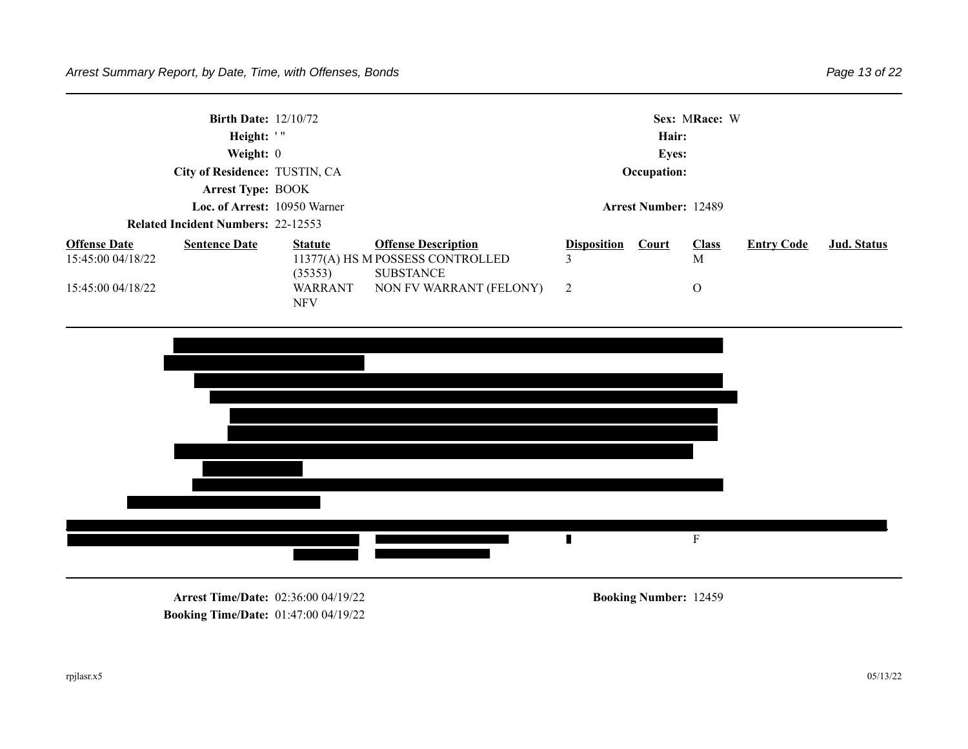|                                          | <b>Birth Date: 12/10/72</b><br>Height: '"<br>Weight: $0$<br>City of Residence: TUSTIN, CA<br><b>Arrest Type: BOOK</b> |                           | Sex: MRace: W<br>Hair:<br><b>Eyes:</b><br>Occupation:                              |                         |              |                              |                   |             |  |
|------------------------------------------|-----------------------------------------------------------------------------------------------------------------------|---------------------------|------------------------------------------------------------------------------------|-------------------------|--------------|------------------------------|-------------------|-------------|--|
|                                          | Loc. of Arrest: 10950 Warner                                                                                          |                           | <b>Arrest Number: 12489</b>                                                        |                         |              |                              |                   |             |  |
|                                          | <b>Related Incident Numbers: 22-12553</b>                                                                             |                           |                                                                                    |                         |              |                              |                   |             |  |
| <b>Offense Date</b><br>15:45:00 04/18/22 | <b>Sentence Date</b>                                                                                                  | <b>Statute</b><br>(35353) | <b>Offense Description</b><br>11377(A) HS M POSSESS CONTROLLED<br><b>SUBSTANCE</b> | <b>Disposition</b><br>3 | <b>Court</b> | <b>Class</b><br>$\mathbf{M}$ | <b>Entry Code</b> | Jud. Status |  |
| 15:45:00 04/18/22                        |                                                                                                                       | WARRANT<br><b>NFV</b>     | NON FV WARRANT (FELONY)                                                            | $\overline{2}$          |              | $\overline{O}$               |                   |             |  |
|                                          |                                                                                                                       |                           |                                                                                    |                         |              |                              |                   |             |  |



**Arrest Time/Date:** 02:36:00 04/19/22 **Booking Number:** 12459 **Booking Time/Date:** 01:47:00 04/19/22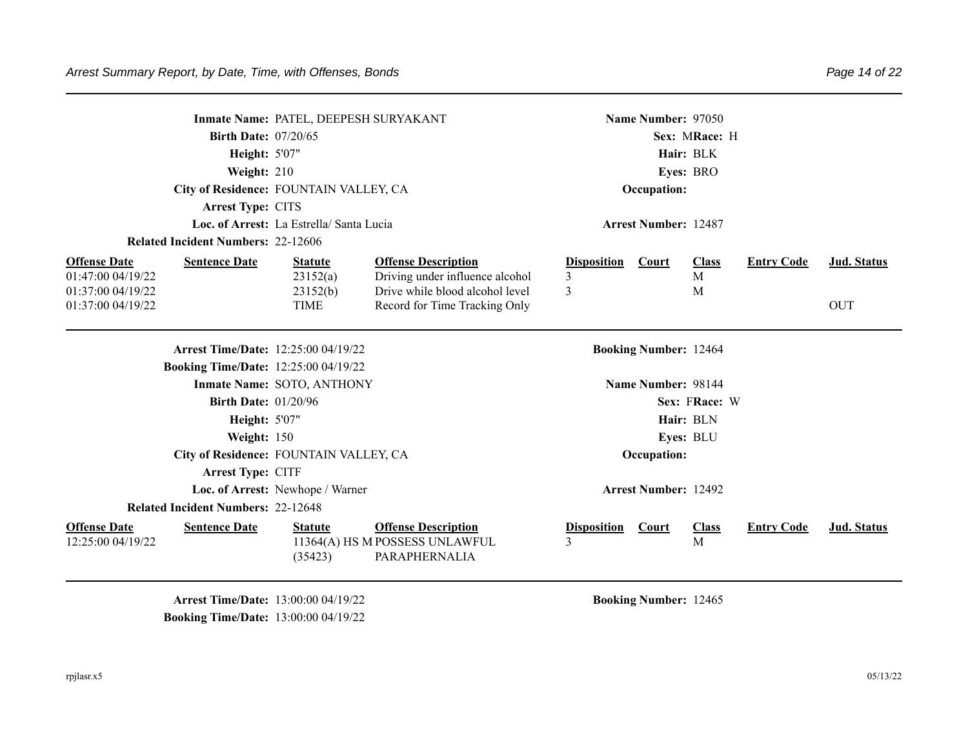| <b>Related Incident Numbers: 22-12606</b>                                             | Inmate Name: PATEL, DEEPESH SURYAKANT<br><b>Birth Date: 07/20/65</b><br><b>Height: 5'07"</b><br>Weight: 210<br>City of Residence: FOUNTAIN VALLEY, CA<br>Arrest Type: CITS<br>Loc. of Arrest: La Estrella/ Santa Lucia |                                                                                                  |                              | Name Number: 97050<br>Sex: MRace: H<br>Hair: BLK<br>Eyes: BRO<br>Occupation:<br><b>Arrest Number: 12487</b> |                              |                   |                    |  |
|---------------------------------------------------------------------------------------|------------------------------------------------------------------------------------------------------------------------------------------------------------------------------------------------------------------------|--------------------------------------------------------------------------------------------------|------------------------------|-------------------------------------------------------------------------------------------------------------|------------------------------|-------------------|--------------------|--|
| <b>Offense Date</b><br><b>Sentence Date</b><br>01:47:00 04/19/22<br>01:37:00 04/19/22 | <b>Statute</b><br>23152(a)<br>23152(b)                                                                                                                                                                                 | <b>Offense Description</b><br>Driving under influence alcohol<br>Drive while blood alcohol level | <b>Disposition</b><br>3<br>3 | <b>Court</b>                                                                                                | <b>Class</b><br>M<br>M       | <b>Entry Code</b> | Jud. Status        |  |
| 01:37:00 04/19/22                                                                     | <b>TIME</b>                                                                                                                                                                                                            | Record for Time Tracking Only                                                                    |                              |                                                                                                             |                              |                   | <b>OUT</b>         |  |
| <b>Arrest Time/Date: 12:25:00 04/19/22</b>                                            |                                                                                                                                                                                                                        |                                                                                                  |                              | <b>Booking Number: 12464</b>                                                                                |                              |                   |                    |  |
| <b>Booking Time/Date: 12:25:00 04/19/22</b>                                           |                                                                                                                                                                                                                        |                                                                                                  |                              |                                                                                                             |                              |                   |                    |  |
|                                                                                       | Inmate Name: SOTO, ANTHONY                                                                                                                                                                                             |                                                                                                  |                              | Name Number: 98144                                                                                          |                              |                   |                    |  |
| <b>Birth Date: 01/20/96</b>                                                           |                                                                                                                                                                                                                        |                                                                                                  |                              |                                                                                                             | Sex: FRace: W                |                   |                    |  |
| <b>Height: 5'07"</b>                                                                  |                                                                                                                                                                                                                        |                                                                                                  |                              |                                                                                                             | Hair: BLN                    |                   |                    |  |
| Weight: 150                                                                           |                                                                                                                                                                                                                        |                                                                                                  |                              |                                                                                                             | Eyes: BLU                    |                   |                    |  |
| City of Residence: FOUNTAIN VALLEY, CA                                                |                                                                                                                                                                                                                        |                                                                                                  |                              | Occupation:                                                                                                 |                              |                   |                    |  |
| <b>Arrest Type: CITF</b>                                                              |                                                                                                                                                                                                                        |                                                                                                  |                              |                                                                                                             |                              |                   |                    |  |
|                                                                                       | Loc. of Arrest: Newhope / Warner                                                                                                                                                                                       |                                                                                                  |                              | <b>Arrest Number: 12492</b>                                                                                 |                              |                   |                    |  |
| <b>Related Incident Numbers: 22-12648</b>                                             |                                                                                                                                                                                                                        |                                                                                                  |                              |                                                                                                             |                              |                   |                    |  |
| <b>Offense Date</b><br><b>Sentence Date</b><br>12:25:00 04/19/22                      | <b>Statute</b><br>(35423)                                                                                                                                                                                              | <b>Offense Description</b><br>11364(A) HS M POSSESS UNLAWFUL<br>PARAPHERNALIA                    | <b>Disposition</b><br>3      | <b>Court</b>                                                                                                | <b>Class</b><br>$\mathbf{M}$ | <b>Entry Code</b> | <b>Jud.</b> Status |  |

**Arrest Time/Date:** 13:00:00 04/19/22 **Booking Number:** 12465 **Booking Time/Date:** 13:00:00 04/19/22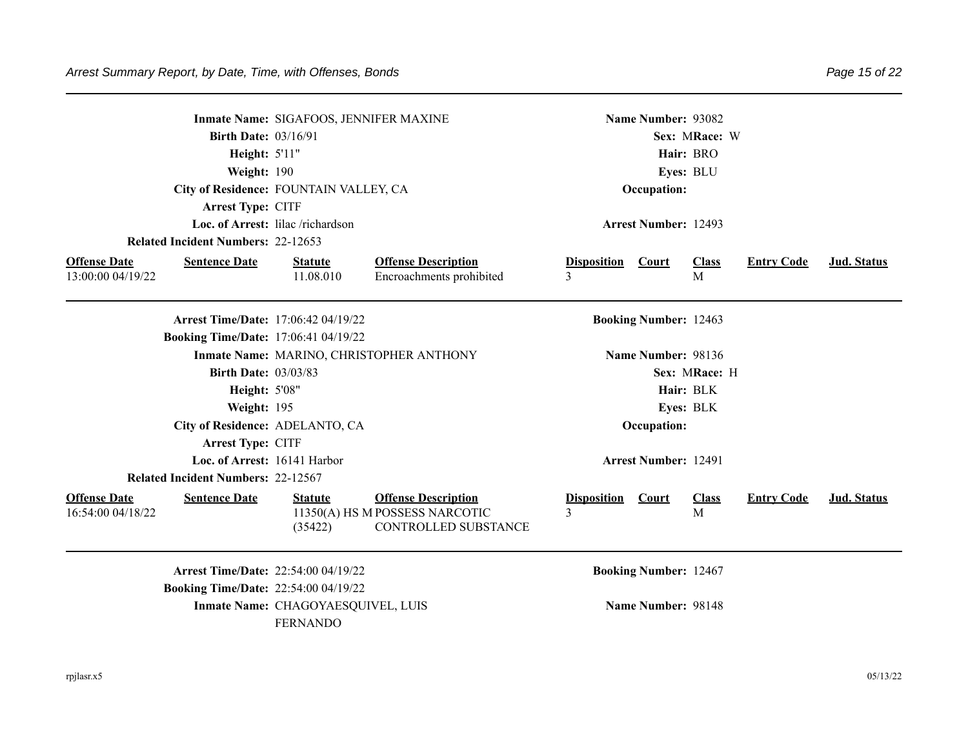|                                                                  |                                             | Inmate Name: SIGAFOOS, JENNIFER MAXINE                                               |                         |                              | Name Number: 93082 |                   |             |  |  |
|------------------------------------------------------------------|---------------------------------------------|--------------------------------------------------------------------------------------|-------------------------|------------------------------|--------------------|-------------------|-------------|--|--|
|                                                                  | <b>Birth Date: 03/16/91</b>                 |                                                                                      |                         |                              | Sex: MRace: W      |                   |             |  |  |
|                                                                  | Height: 5'11"                               |                                                                                      |                         |                              | Hair: BRO          |                   |             |  |  |
|                                                                  | Weight: 190                                 |                                                                                      |                         |                              | Eyes: BLU          |                   |             |  |  |
|                                                                  | City of Residence: FOUNTAIN VALLEY, CA      |                                                                                      |                         | Occupation:                  |                    |                   |             |  |  |
| Arrest Type: CITF                                                |                                             |                                                                                      |                         |                              |                    |                   |             |  |  |
|                                                                  | Loc. of Arrest: lilac /richardson           |                                                                                      |                         | <b>Arrest Number: 12493</b>  |                    |                   |             |  |  |
| <b>Related Incident Numbers: 22-12653</b>                        |                                             |                                                                                      |                         |                              |                    |                   |             |  |  |
| <b>Offense Date</b><br><b>Sentence Date</b><br>13:00:00 04/19/22 | <b>Statute</b><br>11.08.010                 | <b>Offense Description</b><br>Encroachments prohibited                               | <b>Disposition</b><br>3 | <b>Court</b>                 | <b>Class</b><br>M  | <b>Entry Code</b> | Jud. Status |  |  |
|                                                                  | <b>Arrest Time/Date: 17:06:42 04/19/22</b>  |                                                                                      |                         | <b>Booking Number: 12463</b> |                    |                   |             |  |  |
|                                                                  | <b>Booking Time/Date: 17:06:41 04/19/22</b> |                                                                                      |                         |                              |                    |                   |             |  |  |
|                                                                  |                                             | Inmate Name: MARINO, CHRISTOPHER ANTHONY                                             |                         | Name Number: 98136           |                    |                   |             |  |  |
|                                                                  | <b>Birth Date: 03/03/83</b>                 |                                                                                      |                         |                              | Sex: MRace: H      |                   |             |  |  |
|                                                                  | <b>Height: 5'08"</b>                        |                                                                                      |                         |                              | Hair: BLK          |                   |             |  |  |
|                                                                  | Weight: 195                                 |                                                                                      |                         |                              | Eyes: BLK          |                   |             |  |  |
|                                                                  | City of Residence: ADELANTO, CA             |                                                                                      |                         | Occupation:                  |                    |                   |             |  |  |
| Arrest Type: CITF                                                |                                             |                                                                                      |                         |                              |                    |                   |             |  |  |
|                                                                  | Loc. of Arrest: 16141 Harbor                |                                                                                      |                         | <b>Arrest Number: 12491</b>  |                    |                   |             |  |  |
| <b>Related Incident Numbers: 22-12567</b>                        |                                             |                                                                                      |                         |                              |                    |                   |             |  |  |
| <b>Offense Date</b><br><b>Sentence Date</b><br>16:54:00 04/18/22 | <b>Statute</b><br>(35422)                   | <b>Offense Description</b><br>11350(A) HS M POSSESS NARCOTIC<br>CONTROLLED SUBSTANCE | <b>Disposition</b><br>3 | Court                        | <b>Class</b><br>M  | <b>Entry Code</b> | Jud. Status |  |  |
|                                                                  | Arrest Time/Date: 22:54:00 04/19/22         |                                                                                      |                         | <b>Booking Number: 12467</b> |                    |                   |             |  |  |
|                                                                  | <b>Booking Time/Date: 22:54:00 04/19/22</b> |                                                                                      |                         |                              |                    |                   |             |  |  |
|                                                                  | Inmate Name: CHAGOYAESQUIVEL, LUIS          |                                                                                      |                         | Name Number: 98148           |                    |                   |             |  |  |
|                                                                  | <b>FERNANDO</b>                             |                                                                                      |                         |                              |                    |                   |             |  |  |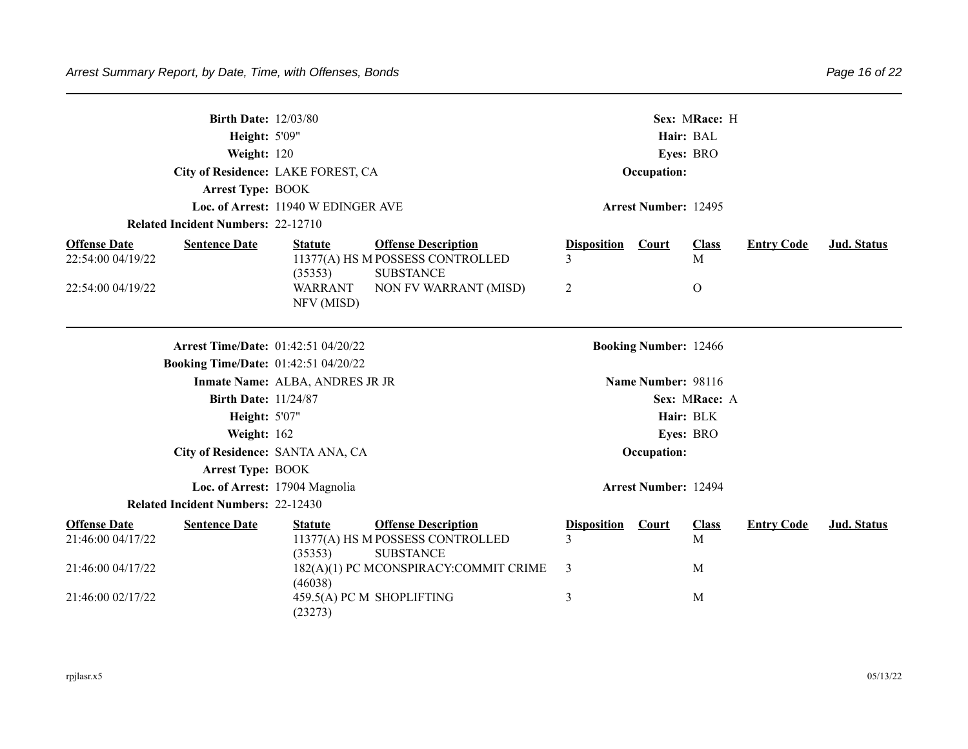| <b>Birth Date: 12/03/80</b><br><b>Height: 5'09"</b><br>Weight: 120<br>City of Residence: LAKE FOREST, CA<br><b>Arrest Type: BOOK</b><br>Loc. of Arrest: 11940 W EDINGER AVE |                                 |                                             |                                                                                    | Sex: MRace: H<br>Hair: BAL<br>Eyes: BRO<br>Occupation:<br><b>Arrest Number: 12495</b> |                              |                   |                   |             |  |  |  |
|-----------------------------------------------------------------------------------------------------------------------------------------------------------------------------|---------------------------------|---------------------------------------------|------------------------------------------------------------------------------------|---------------------------------------------------------------------------------------|------------------------------|-------------------|-------------------|-------------|--|--|--|
| <b>Related Incident Numbers: 22-12710</b>                                                                                                                                   |                                 |                                             |                                                                                    |                                                                                       |                              |                   |                   |             |  |  |  |
| <b>Offense Date</b><br><b>Sentence Date</b><br>22:54:00 04/19/22                                                                                                            |                                 | <b>Statute</b><br>(35353)                   | <b>Offense Description</b><br>11377(A) HS M POSSESS CONTROLLED<br><b>SUBSTANCE</b> | <b>Disposition</b><br>3                                                               | Court                        | <b>Class</b><br>M | <b>Entry Code</b> | Jud. Status |  |  |  |
| 22:54:00 04/19/22                                                                                                                                                           |                                 | WARRANT<br>NFV (MISD)                       | NON FV WARRANT (MISD)                                                              | 2                                                                                     |                              | $\Omega$          |                   |             |  |  |  |
|                                                                                                                                                                             |                                 | <b>Arrest Time/Date: 01:42:51 04/20/22</b>  |                                                                                    |                                                                                       | <b>Booking Number: 12466</b> |                   |                   |             |  |  |  |
|                                                                                                                                                                             |                                 | <b>Booking Time/Date: 01:42:51 04/20/22</b> |                                                                                    |                                                                                       |                              |                   |                   |             |  |  |  |
|                                                                                                                                                                             | Inmate Name: ALBA, ANDRES JR JR |                                             |                                                                                    |                                                                                       | Name Number: 98116           |                   |                   |             |  |  |  |
|                                                                                                                                                                             |                                 | <b>Birth Date: 11/24/87</b>                 |                                                                                    |                                                                                       |                              | Sex: MRace: A     |                   |             |  |  |  |
|                                                                                                                                                                             | <b>Height: 5'07"</b>            |                                             |                                                                                    |                                                                                       |                              | Hair: BLK         |                   |             |  |  |  |
|                                                                                                                                                                             | Weight: 162                     |                                             |                                                                                    |                                                                                       |                              | Eyes: BRO         |                   |             |  |  |  |
|                                                                                                                                                                             |                                 | City of Residence: SANTA ANA, CA            |                                                                                    |                                                                                       | Occupation:                  |                   |                   |             |  |  |  |
|                                                                                                                                                                             | <b>Arrest Type: BOOK</b>        |                                             |                                                                                    |                                                                                       |                              |                   |                   |             |  |  |  |
|                                                                                                                                                                             |                                 | Loc. of Arrest: 17904 Magnolia              |                                                                                    |                                                                                       | <b>Arrest Number: 12494</b>  |                   |                   |             |  |  |  |
| <b>Related Incident Numbers: 22-12430</b>                                                                                                                                   |                                 |                                             |                                                                                    |                                                                                       |                              |                   |                   |             |  |  |  |
| <b>Offense Date</b><br><b>Sentence Date</b><br>21:46:00 04/17/22                                                                                                            |                                 | <b>Statute</b><br>(35353)                   | <b>Offense Description</b><br>11377(A) HS M POSSESS CONTROLLED<br><b>SUBSTANCE</b> | <b>Disposition</b><br>3                                                               | Court                        | <b>Class</b><br>M | <b>Entry Code</b> | Jud. Status |  |  |  |
| 21:46:00 04/17/22                                                                                                                                                           |                                 | (46038)                                     | 182(A)(1) PC MCONSPIRACY:COMMIT CRIME                                              | 3                                                                                     |                              | M                 |                   |             |  |  |  |
| 21:46:00 02/17/22                                                                                                                                                           |                                 | (23273)                                     | 459.5(A) PC M SHOPLIFTING                                                          | 3                                                                                     |                              | M                 |                   |             |  |  |  |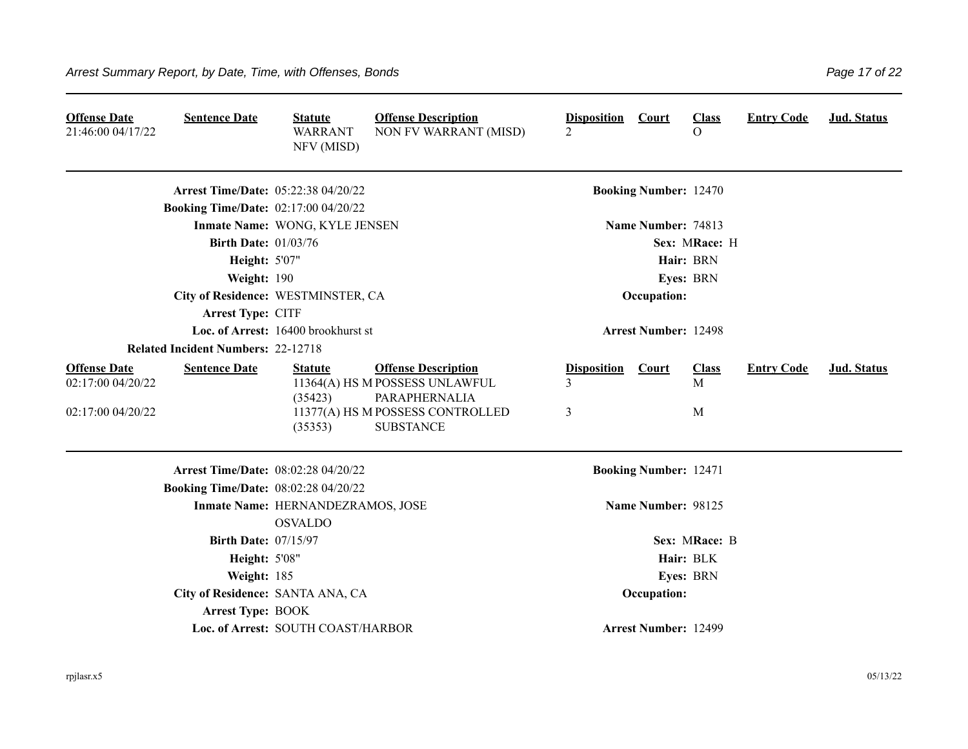| <b>Offense Date</b><br>21:46:00 04/17/22                      | <b>Sentence Date</b>                        | <b>Statute</b><br><b>WARRANT</b><br>NFV (MISD)      | <b>Offense Description</b><br>NON FV WARRANT (MISD)                                                                                   | <b>Disposition</b><br>$\overline{2}$ | <b>Court</b>                 | <b>Class</b><br>$\overline{O}$ | <b>Entry Code</b> | Jud. Status |  |
|---------------------------------------------------------------|---------------------------------------------|-----------------------------------------------------|---------------------------------------------------------------------------------------------------------------------------------------|--------------------------------------|------------------------------|--------------------------------|-------------------|-------------|--|
|                                                               | Arrest Time/Date: 05:22:38 04/20/22         |                                                     |                                                                                                                                       |                                      | <b>Booking Number: 12470</b> |                                |                   |             |  |
|                                                               | <b>Booking Time/Date: 02:17:00 04/20/22</b> |                                                     |                                                                                                                                       |                                      |                              |                                |                   |             |  |
|                                                               |                                             | Inmate Name: WONG, KYLE JENSEN                      |                                                                                                                                       |                                      | Name Number: 74813           |                                |                   |             |  |
|                                                               | <b>Birth Date: 01/03/76</b>                 |                                                     |                                                                                                                                       |                                      |                              | Sex: MRace: H                  |                   |             |  |
|                                                               | <b>Height: 5'07"</b>                        |                                                     |                                                                                                                                       |                                      |                              | Hair: BRN                      |                   |             |  |
|                                                               | Weight: 190                                 |                                                     |                                                                                                                                       |                                      |                              | Eyes: BRN                      |                   |             |  |
|                                                               | City of Residence: WESTMINSTER, CA          |                                                     |                                                                                                                                       |                                      | Occupation:                  |                                |                   |             |  |
|                                                               | Arrest Type: CITF                           |                                                     |                                                                                                                                       |                                      |                              |                                |                   |             |  |
|                                                               |                                             | Loc. of Arrest: 16400 brookhurst st                 |                                                                                                                                       |                                      | <b>Arrest Number: 12498</b>  |                                |                   |             |  |
|                                                               | <b>Related Incident Numbers: 22-12718</b>   |                                                     |                                                                                                                                       |                                      |                              |                                |                   |             |  |
| <b>Offense Date</b><br>02:17:00 04/20/22<br>02:17:00 04/20/22 | <b>Sentence Date</b>                        | <b>Statute</b><br>(35423)<br>(35353)                | <b>Offense Description</b><br>11364(A) HS M POSSESS UNLAWFUL<br>PARAPHERNALIA<br>11377(A) HS M POSSESS CONTROLLED<br><b>SUBSTANCE</b> | <b>Disposition</b><br>3<br>3         | <b>Court</b>                 | <b>Class</b><br>M<br>M         | <b>Entry Code</b> | Jud. Status |  |
|                                                               | Arrest Time/Date: 08:02:28 04/20/22         |                                                     |                                                                                                                                       |                                      | <b>Booking Number: 12471</b> |                                |                   |             |  |
|                                                               | <b>Booking Time/Date: 08:02:28 04/20/22</b> |                                                     |                                                                                                                                       |                                      |                              |                                |                   |             |  |
|                                                               |                                             | Inmate Name: HERNANDEZRAMOS, JOSE<br><b>OSVALDO</b> |                                                                                                                                       | Name Number: 98125                   |                              |                                |                   |             |  |
|                                                               | <b>Birth Date: 07/15/97</b>                 |                                                     |                                                                                                                                       |                                      |                              | Sex: MRace: B                  |                   |             |  |
|                                                               | <b>Height: 5'08"</b>                        |                                                     |                                                                                                                                       |                                      |                              | Hair: BLK                      |                   |             |  |
|                                                               | Weight: 185                                 |                                                     |                                                                                                                                       |                                      |                              | Eyes: BRN                      |                   |             |  |
|                                                               | City of Residence: SANTA ANA, CA            |                                                     |                                                                                                                                       |                                      | Occupation:                  |                                |                   |             |  |
|                                                               | <b>Arrest Type: BOOK</b>                    |                                                     |                                                                                                                                       |                                      |                              |                                |                   |             |  |
|                                                               |                                             | Loc. of Arrest: SOUTH COAST/HARBOR                  |                                                                                                                                       |                                      | <b>Arrest Number: 12499</b>  |                                |                   |             |  |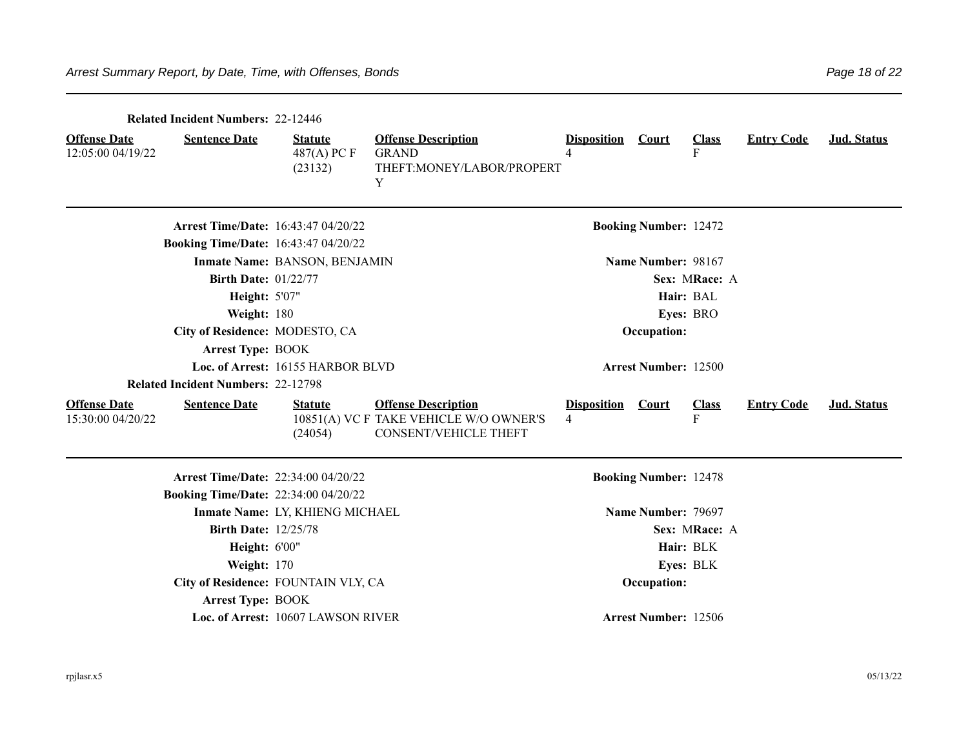|                                          | <b>Related Incident Numbers: 22-12446</b>   |                                            |                                                                                                      |                                                |                              |                   |                   |             |  |
|------------------------------------------|---------------------------------------------|--------------------------------------------|------------------------------------------------------------------------------------------------------|------------------------------------------------|------------------------------|-------------------|-------------------|-------------|--|
| <b>Offense Date</b><br>12:05:00 04/19/22 | <b>Sentence Date</b>                        | <b>Statute</b><br>$487(A)$ PC F<br>(23132) | <b>Offense Description</b><br><b>GRAND</b><br>THEFT:MONEY/LABOR/PROPERT<br>Y                         | <b>Disposition</b><br>$\overline{\mathcal{A}}$ | Court                        | <b>Class</b><br>F | <b>Entry Code</b> | Jud. Status |  |
|                                          | Arrest Time/Date: 16:43:47 04/20/22         |                                            |                                                                                                      |                                                | <b>Booking Number: 12472</b> |                   |                   |             |  |
|                                          | <b>Booking Time/Date: 16:43:47 04/20/22</b> |                                            |                                                                                                      |                                                |                              |                   |                   |             |  |
|                                          |                                             | Inmate Name: BANSON, BENJAMIN              |                                                                                                      |                                                | Name Number: 98167           |                   |                   |             |  |
| <b>Birth Date: 01/22/77</b>              |                                             |                                            |                                                                                                      |                                                |                              | Sex: MRace: A     |                   |             |  |
| <b>Height: 5'07"</b>                     |                                             |                                            |                                                                                                      |                                                |                              | Hair: BAL         |                   |             |  |
| Weight: 180                              |                                             |                                            |                                                                                                      |                                                |                              | Eyes: BRO         |                   |             |  |
|                                          | City of Residence: MODESTO, CA              |                                            | Occupation:                                                                                          |                                                |                              |                   |                   |             |  |
|                                          | <b>Arrest Type: BOOK</b>                    |                                            |                                                                                                      |                                                |                              |                   |                   |             |  |
|                                          |                                             | Loc. of Arrest: 16155 HARBOR BLVD          |                                                                                                      |                                                | <b>Arrest Number: 12500</b>  |                   |                   |             |  |
|                                          | <b>Related Incident Numbers: 22-12798</b>   |                                            |                                                                                                      |                                                |                              |                   |                   |             |  |
| <b>Offense Date</b><br>15:30:00 04/20/22 | <b>Sentence Date</b>                        | <b>Statute</b><br>(24054)                  | <b>Offense Description</b><br>10851(A) VC F TAKE VEHICLE W/O OWNER'S<br><b>CONSENT/VEHICLE THEFT</b> | <b>Disposition</b><br>$\overline{4}$           | <b>Court</b>                 | <b>Class</b><br>F | <b>Entry Code</b> | Jud. Status |  |
|                                          | <b>Arrest Time/Date: 22:34:00 04/20/22</b>  |                                            |                                                                                                      |                                                | <b>Booking Number: 12478</b> |                   |                   |             |  |
|                                          | <b>Booking Time/Date: 22:34:00 04/20/22</b> |                                            |                                                                                                      |                                                |                              |                   |                   |             |  |
|                                          |                                             | Inmate Name: LY, KHIENG MICHAEL            |                                                                                                      |                                                | Name Number: 79697           |                   |                   |             |  |
|                                          | <b>Birth Date: 12/25/78</b>                 |                                            |                                                                                                      |                                                |                              | Sex: MRace: A     |                   |             |  |
|                                          | Height: 6'00"                               |                                            |                                                                                                      |                                                |                              | Hair: BLK         |                   |             |  |
|                                          | Weight: 170                                 |                                            |                                                                                                      |                                                |                              | Eyes: BLK         |                   |             |  |
|                                          | City of Residence: FOUNTAIN VLY, CA         |                                            |                                                                                                      |                                                | Occupation:                  |                   |                   |             |  |
|                                          | <b>Arrest Type: BOOK</b>                    |                                            |                                                                                                      |                                                |                              |                   |                   |             |  |
|                                          |                                             | Loc. of Arrest: 10607 LAWSON RIVER         |                                                                                                      |                                                | <b>Arrest Number: 12506</b>  |                   |                   |             |  |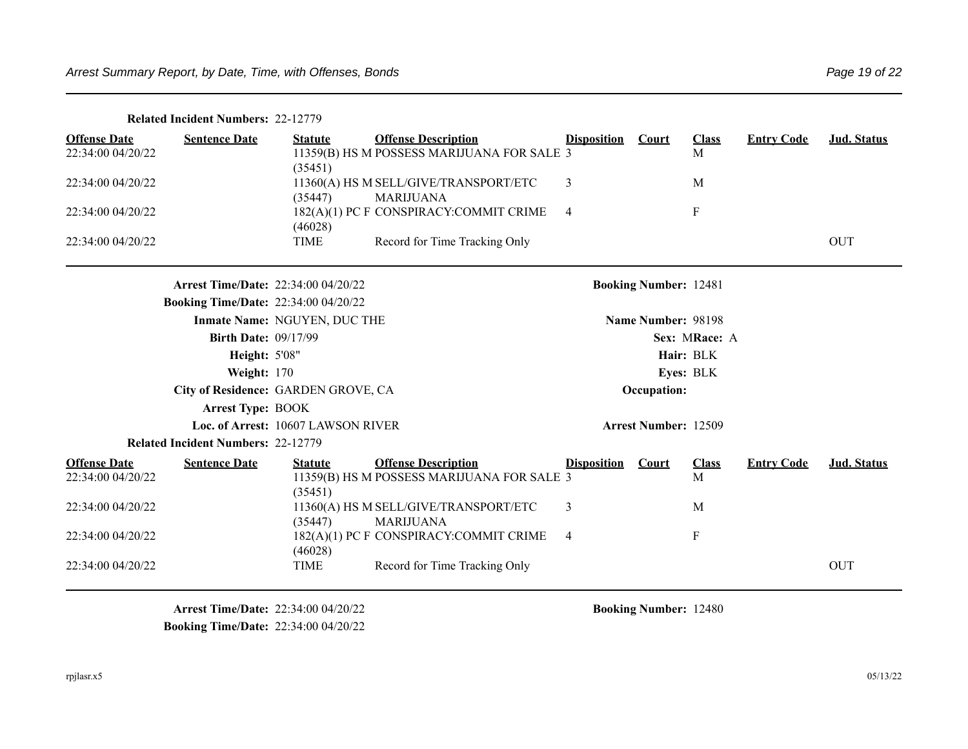|                                          | <b>Related Incident Numbers: 22-12779</b>   |                                    |                                                                          |                    |                              |                   |                   |             |
|------------------------------------------|---------------------------------------------|------------------------------------|--------------------------------------------------------------------------|--------------------|------------------------------|-------------------|-------------------|-------------|
| <b>Offense Date</b><br>22:34:00 04/20/22 | <b>Sentence Date</b>                        | <b>Statute</b><br>(35451)          | <b>Offense Description</b><br>11359(B) HS M POSSESS MARIJUANA FOR SALE 3 | <b>Disposition</b> | Court                        | <b>Class</b><br>M | <b>Entry Code</b> | Jud. Status |
| 22:34:00 04/20/22                        |                                             | (35447)                            | 11360(A) HS M SELL/GIVE/TRANSPORT/ETC<br><b>MARIJUANA</b>                | 3                  |                              | M                 |                   |             |
| 22:34:00 04/20/22                        |                                             | (46028)                            | 182(A)(1) PC F CONSPIRACY:COMMIT CRIME                                   | $\overline{4}$     |                              | $\mathbf F$       |                   |             |
| 22:34:00 04/20/22                        |                                             | <b>TIME</b>                        | Record for Time Tracking Only                                            |                    |                              |                   |                   | <b>OUT</b>  |
|                                          | Arrest Time/Date: 22:34:00 04/20/22         |                                    |                                                                          |                    | <b>Booking Number: 12481</b> |                   |                   |             |
|                                          | <b>Booking Time/Date: 22:34:00 04/20/22</b> |                                    |                                                                          |                    |                              |                   |                   |             |
|                                          |                                             | Inmate Name: NGUYEN, DUC THE       |                                                                          |                    | Name Number: 98198           |                   |                   |             |
|                                          | <b>Birth Date: 09/17/99</b>                 |                                    |                                                                          |                    |                              | Sex: MRace: A     |                   |             |
|                                          | <b>Height: 5'08"</b>                        |                                    |                                                                          |                    |                              | Hair: BLK         |                   |             |
|                                          | <b>Weight: 170</b>                          |                                    |                                                                          |                    |                              | Eyes: BLK         |                   |             |
|                                          | City of Residence: GARDEN GROVE, CA         |                                    |                                                                          |                    | Occupation:                  |                   |                   |             |
|                                          | <b>Arrest Type: BOOK</b>                    |                                    |                                                                          |                    |                              |                   |                   |             |
|                                          |                                             | Loc. of Arrest: 10607 LAWSON RIVER |                                                                          |                    | <b>Arrest Number: 12509</b>  |                   |                   |             |
|                                          | <b>Related Incident Numbers: 22-12779</b>   |                                    |                                                                          |                    |                              |                   |                   |             |
| <b>Offense Date</b><br>22:34:00 04/20/22 | <b>Sentence Date</b>                        | <b>Statute</b><br>(35451)          | <b>Offense Description</b><br>11359(B) HS M POSSESS MARIJUANA FOR SALE 3 | <b>Disposition</b> | <b>Court</b>                 | <b>Class</b><br>М | <b>Entry Code</b> | Jud. Status |
| 22:34:00 04/20/22                        |                                             | (35447)                            | 11360(A) HS M SELL/GIVE/TRANSPORT/ETC<br><b>MARIJUANA</b>                | 3                  |                              | M                 |                   |             |
| 22:34:00 04/20/22                        |                                             | (46028)                            | 182(A)(1) PC F CONSPIRACY:COMMIT CRIME                                   | 4                  |                              | $\mathbf F$       |                   |             |
| 22:34:00 04/20/22                        |                                             | <b>TIME</b>                        | Record for Time Tracking Only                                            |                    |                              |                   |                   | OUT         |

**Arrest Time/Date:** 22:34:00 04/20/22 **Booking Number:** 12480 **Booking Time/Date:** 22:34:00 04/20/22

rpjlasr.x5 05/13/22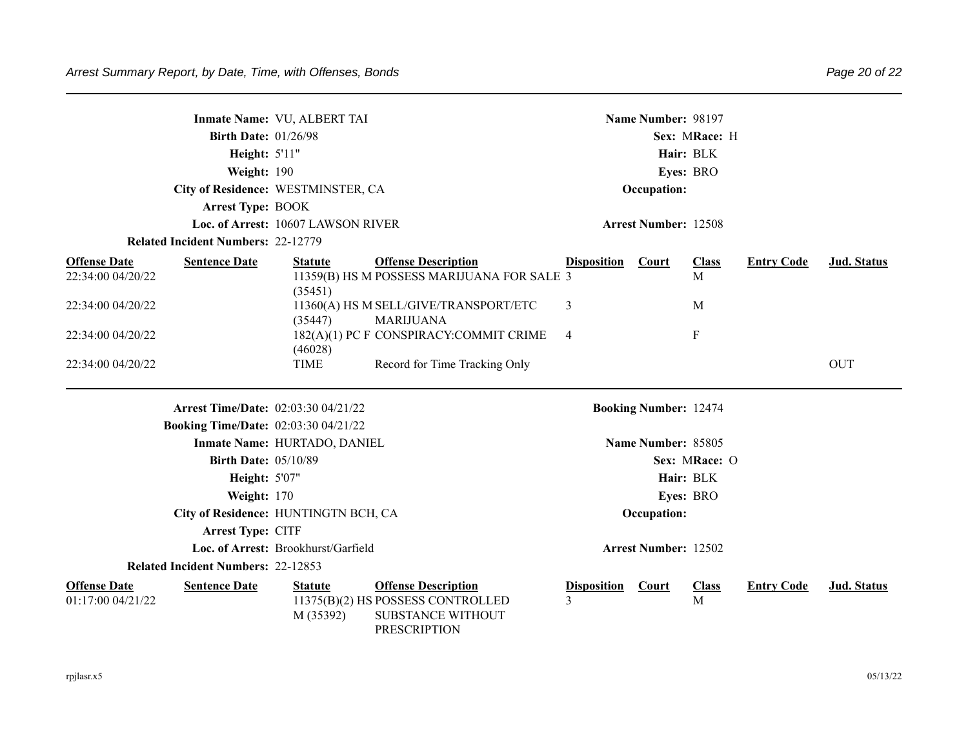|                                          | <b>Birth Date: 01/26/98</b>                 | Inmate Name: VU, ALBERT TAI         |                                                                                                      |                         | Name Number: 98197           | Sex: MRace: H     |                   |             |
|------------------------------------------|---------------------------------------------|-------------------------------------|------------------------------------------------------------------------------------------------------|-------------------------|------------------------------|-------------------|-------------------|-------------|
|                                          | <b>Height: 5'11"</b>                        |                                     |                                                                                                      |                         | Hair: BLK                    |                   |                   |             |
|                                          | Weight: 190                                 |                                     |                                                                                                      |                         | Eyes: BRO                    |                   |                   |             |
|                                          | City of Residence: WESTMINSTER, CA          |                                     |                                                                                                      |                         | Occupation:                  |                   |                   |             |
|                                          | <b>Arrest Type: BOOK</b>                    |                                     |                                                                                                      |                         |                              |                   |                   |             |
|                                          |                                             | Loc. of Arrest: 10607 LAWSON RIVER  |                                                                                                      |                         | <b>Arrest Number: 12508</b>  |                   |                   |             |
|                                          | <b>Related Incident Numbers: 22-12779</b>   |                                     |                                                                                                      |                         |                              |                   |                   |             |
| <b>Offense Date</b><br>22:34:00 04/20/22 | <b>Sentence Date</b>                        | <b>Statute</b><br>(35451)           | <b>Offense Description</b><br>11359(B) HS M POSSESS MARIJUANA FOR SALE 3                             | <b>Disposition</b>      | <b>Court</b>                 | <b>Class</b><br>M | <b>Entry Code</b> | Jud. Status |
| 22:34:00 04/20/22                        |                                             | (35447)                             | 11360(A) HS M SELL/GIVE/TRANSPORT/ETC<br><b>MARIJUANA</b>                                            | 3                       |                              | M                 |                   |             |
| 22:34:00 04/20/22                        |                                             | (46028)                             | 182(A)(1) PC F CONSPIRACY:COMMIT CRIME                                                               | $\overline{4}$          |                              | $\mathbf F$       |                   |             |
| 22:34:00 04/20/22                        |                                             | <b>TIME</b>                         | Record for Time Tracking Only                                                                        |                         |                              |                   |                   | <b>OUT</b>  |
|                                          | <b>Arrest Time/Date: 02:03:30 04/21/22</b>  |                                     |                                                                                                      |                         | <b>Booking Number: 12474</b> |                   |                   |             |
|                                          | <b>Booking Time/Date: 02:03:30 04/21/22</b> |                                     |                                                                                                      |                         |                              |                   |                   |             |
|                                          |                                             | Inmate Name: HURTADO, DANIEL        |                                                                                                      |                         | Name Number: 85805           |                   |                   |             |
|                                          | <b>Birth Date: 05/10/89</b>                 |                                     |                                                                                                      |                         |                              | Sex: MRace: O     |                   |             |
|                                          | <b>Height: 5'07"</b>                        |                                     |                                                                                                      |                         | Hair: BLK                    |                   |                   |             |
|                                          | Weight: 170                                 |                                     |                                                                                                      |                         | Eyes: BRO                    |                   |                   |             |
|                                          | City of Residence: HUNTINGTN BCH, CA        |                                     |                                                                                                      |                         | Occupation:                  |                   |                   |             |
|                                          | Arrest Type: CITF                           |                                     |                                                                                                      |                         |                              |                   |                   |             |
|                                          |                                             | Loc. of Arrest: Brookhurst/Garfield |                                                                                                      |                         | <b>Arrest Number: 12502</b>  |                   |                   |             |
|                                          | <b>Related Incident Numbers: 22-12853</b>   |                                     |                                                                                                      |                         |                              |                   |                   |             |
| <b>Offense Date</b><br>01:17:00 04/21/22 | <b>Sentence Date</b>                        | <b>Statute</b><br>M (35392)         | <b>Offense Description</b><br>11375(B)(2) HS POSSESS CONTROLLED<br>SUBSTANCE WITHOUT<br>PRESCRIPTION | <b>Disposition</b><br>3 | <b>Court</b>                 | <b>Class</b><br>M | <b>Entry Code</b> | Jud. Status |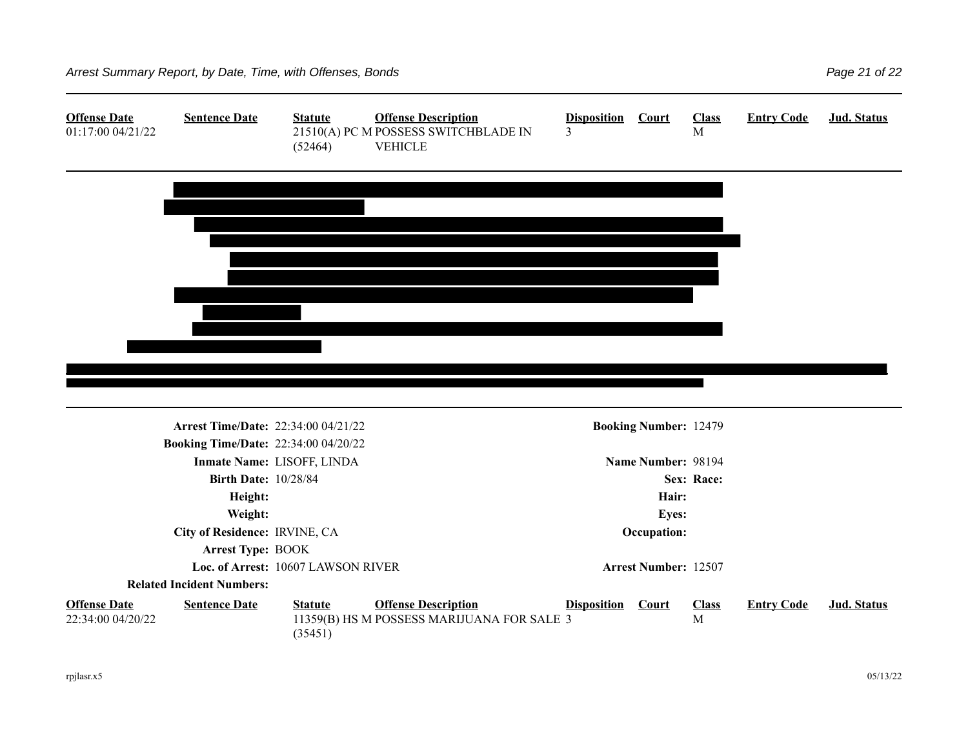